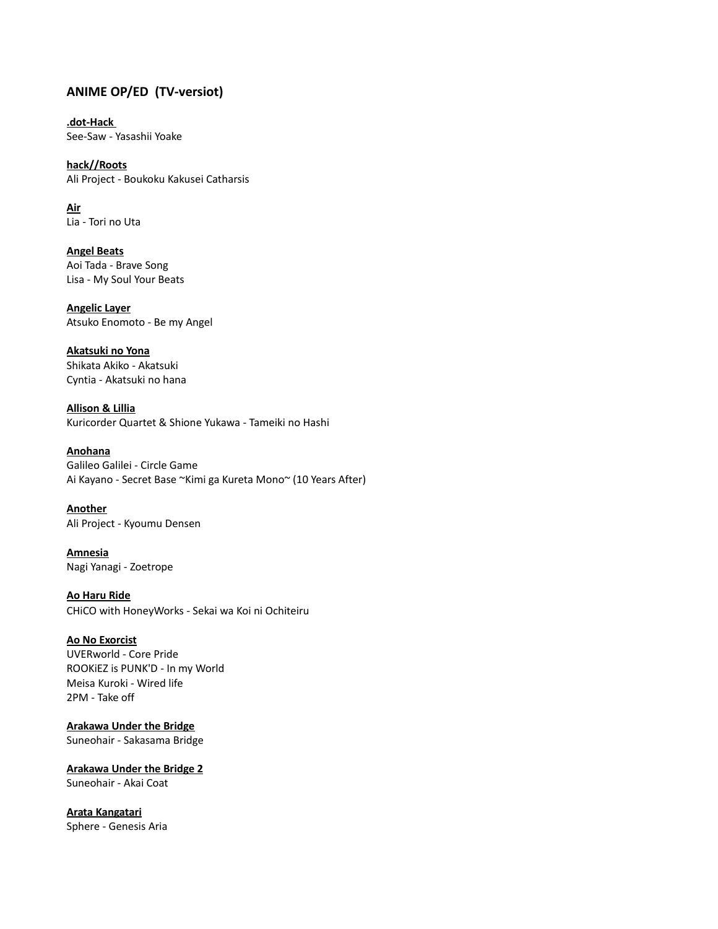# **ANIME OP/ED (TV-versiot)**

**.dot-Hack**  See-Saw - Yasashii Yoake

**hack//Roots** Ali Project - Boukoku Kakusei Catharsis

**Air** Lia - Tori no Uta

**Angel Beats** Aoi Tada - Brave Song Lisa - My Soul Your Beats

**Angelic Layer** Atsuko Enomoto - Be my Angel

**Akatsuki no Yona** Shikata Akiko - Akatsuki Cyntia - Akatsuki no hana

**Allison & Lillia** Kuricorder Quartet & Shione Yukawa - Tameiki no Hashi

**Anohana** Galileo Galilei - Circle Game Ai Kayano - Secret Base ~Kimi ga Kureta Mono~ (10 Years After)

**Another** Ali Project - Kyoumu Densen

**Amnesia** Nagi Yanagi - Zoetrope

**Ao Haru Ride** CHiCO with HoneyWorks - Sekai wa Koi ni Ochiteiru

## **Ao No Exorcist**

UVERworld - Core Pride ROOKiEZ is PUNK'D - In my World Meisa Kuroki - Wired life 2PM - Take off

**Arakawa Under the Bridge** Suneohair - Sakasama Bridge

**Arakawa Under the Bridge 2** Suneohair - Akai Coat

**Arata Kangatari** Sphere - Genesis Aria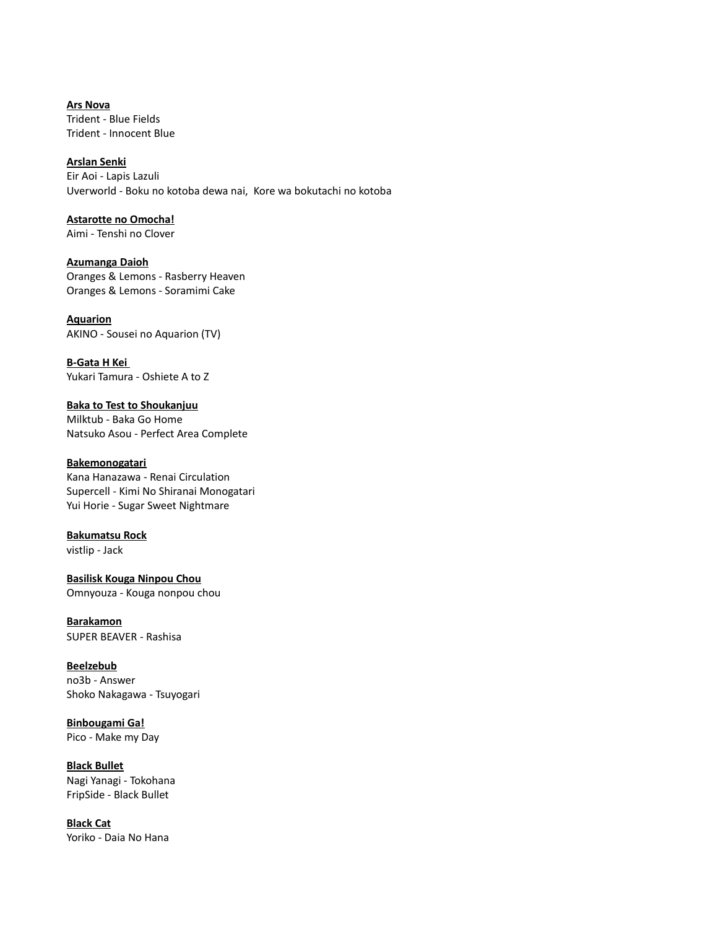**Ars Nova** Trident - Blue Fields Trident - Innocent Blue

**Arslan Senki**

Eir Aoi - Lapis Lazuli Uverworld - Boku no kotoba dewa nai, Kore wa bokutachi no kotoba

**Astarotte no Omocha!**

Aimi - Tenshi no Clover

**Azumanga Daioh** Oranges & Lemons - Rasberry Heaven Oranges & Lemons - Soramimi Cake

**Aquarion** AKINO - Sousei no Aquarion (TV)

**B-Gata H Kei**  Yukari Tamura - Oshiete A to Z

**Baka to Test to Shoukanjuu** Milktub - Baka Go Home Natsuko Asou - Perfect Area Complete

## **Bakemonogatari** Kana Hanazawa - Renai Circulation

Supercell - Kimi No Shiranai Monogatari Yui Horie - Sugar Sweet Nightmare

# **Bakumatsu Rock**

vistlip - Jack

**Basilisk Kouga Ninpou Chou** Omnyouza - Kouga nonpou chou

**Barakamon** SUPER BEAVER - Rashisa

**Beelzebub** no3b - Answer Shoko Nakagawa - Tsuyogari

**Binbougami Ga!** Pico - Make my Day

**Black Bullet** Nagi Yanagi - Tokohana FripSide - Black Bullet

**Black Cat** Yoriko - Daia No Hana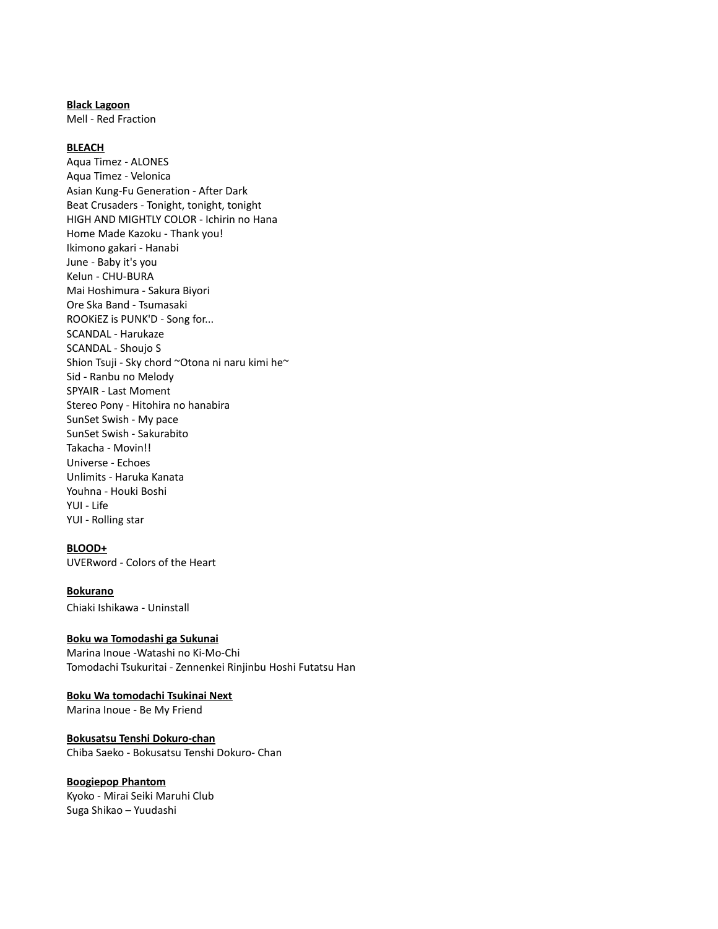#### **Black Lagoon**

Mell - Red Fraction

### **BLEACH**

Aqua Timez - ALONES Aqua Timez - Velonica Asian Kung-Fu Generation - After Dark Beat Crusaders - Tonight, tonight, tonight HIGH AND MIGHTLY COLOR - Ichirin no Hana Home Made Kazoku - Thank you! Ikimono gakari - Hanabi June - Baby it's you Kelun - CHU-BURA Mai Hoshimura - Sakura Biyori Ore Ska Band - Tsumasaki ROOKiEZ is PUNK'D - Song for... SCANDAL - Harukaze SCANDAL - Shoujo S Shion Tsuji - Sky chord ~Otona ni naru kimi he~ Sid - Ranbu no Melody SPYAIR - Last Moment Stereo Pony - Hitohira no hanabira SunSet Swish - My pace SunSet Swish - Sakurabito Takacha - Movin!! Universe - Echoes Unlimits - Haruka Kanata Youhna - Houki Boshi YUI - Life YUI - Rolling star

#### **BLOOD+**

UVERword - Colors of the Heart

#### **Bokurano**

Chiaki Ishikawa - Uninstall

## **Boku wa Tomodashi ga Sukunai**

Marina Inoue -Watashi no Ki-Mo-Chi Tomodachi Tsukuritai - Zennenkei Rinjinbu Hoshi Futatsu Han

## **Boku Wa tomodachi Tsukinai Next**

Marina Inoue - Be My Friend

## **Bokusatsu Tenshi Dokuro-chan** Chiba Saeko - Bokusatsu Tenshi Dokuro- Chan

#### **Boogiepop Phantom**

Kyoko - Mirai Seiki Maruhi Club Suga Shikao – Yuudashi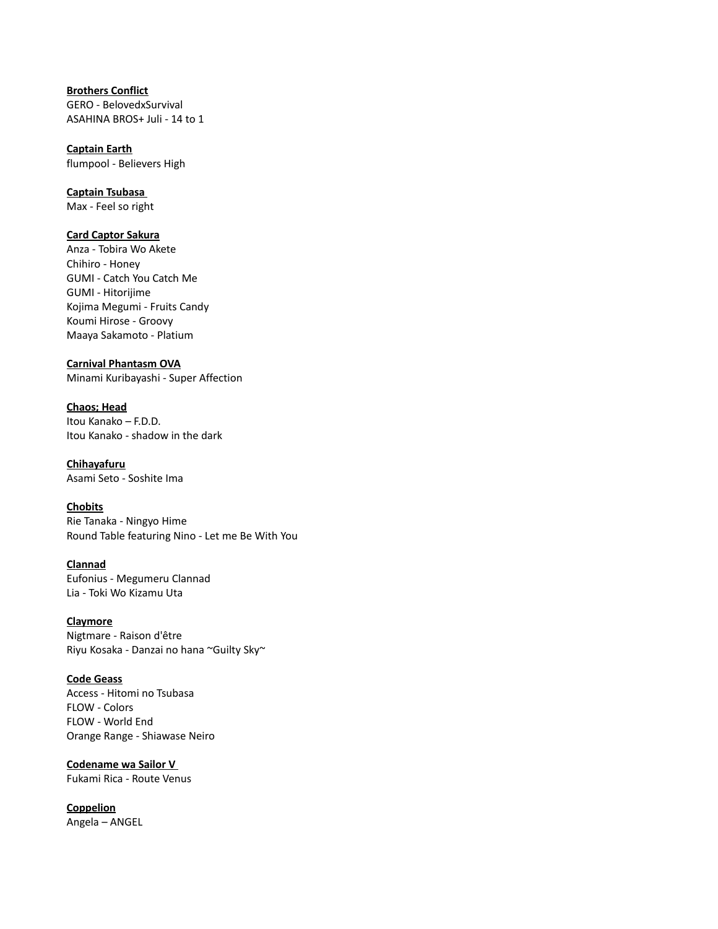## **Brothers Conflict** GERO - BelovedxSurvival ASAHINA BROS+ Juli - 14 to 1

**Captain Earth** flumpool - Believers High

**Captain Tsubasa**  Max - Feel so right

## **Card Captor Sakura**

Anza - Tobira Wo Akete Chihiro - Honey GUMI - Catch You Catch Me GUMI - Hitorijime Kojima Megumi - Fruits Candy Koumi Hirose - Groovy Maaya Sakamoto - Platium

**Carnival Phantasm OVA**

Minami Kuribayashi - Super Affection

**Chaos; Head** Itou Kanako – F.D.D. Itou Kanako - shadow in the dark

#### **Chihayafuru** Asami Seto - Soshite Ima

**Chobits** Rie Tanaka - Ningyo Hime Round Table featuring Nino - Let me Be With You

**Clannad** Eufonius - Megumeru Clannad Lia - Toki Wo Kizamu Uta

**Claymore** Nigtmare - Raison d'être Riyu Kosaka - Danzai no hana ~Guilty Sky~

**Code Geass** Access - Hitomi no Tsubasa FLOW - Colors FLOW - World End Orange Range - Shiawase Neiro

**Codename wa Sailor V**  Fukami Rica - Route Venus

**Coppelion** Angela – ANGEL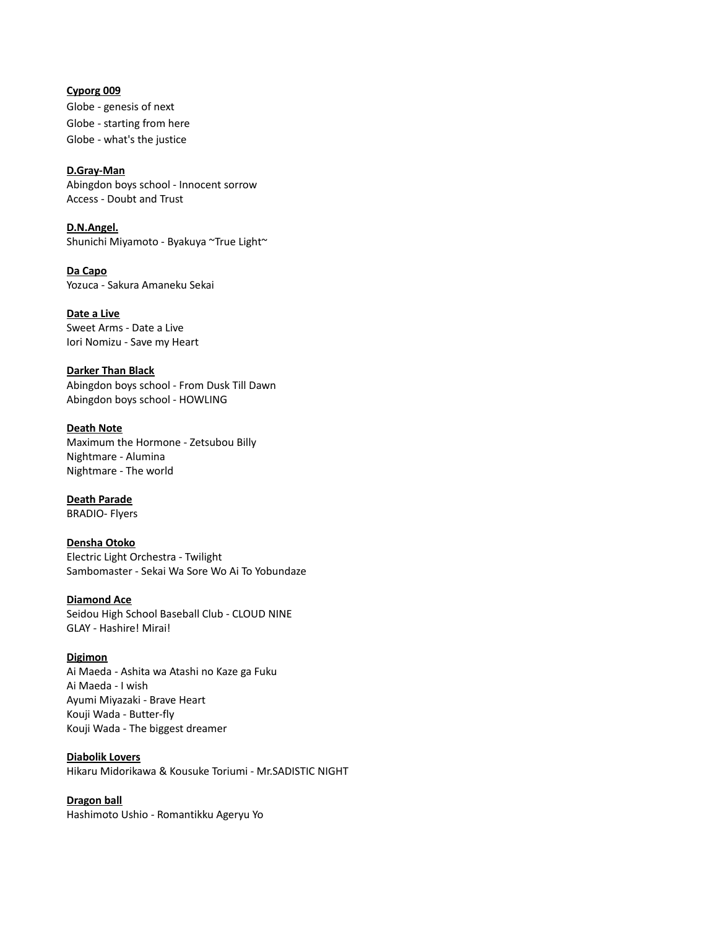**Cyporg 009** Globe - genesis of next Globe - starting from here Globe - what's the justice

**D.Gray-Man** Abingdon boys school - Innocent sorrow Access - Doubt and Trust

**D.N.Angel.** Shunichi Miyamoto - Byakuya ~True Light~

**Da Capo** Yozuca - Sakura Amaneku Sekai

**Date a Live** Sweet Arms - Date a Live Iori Nomizu - Save my Heart

**Darker Than Black** Abingdon boys school - From Dusk Till Dawn Abingdon boys school - HOWLING

**Death Note** Maximum the Hormone - Zetsubou Billy Nightmare - Alumina Nightmare - The world

**Death Parade** BRADIO- Flyers

**Densha Otoko** Electric Light Orchestra - Twilight Sambomaster - Sekai Wa Sore Wo Ai To Yobundaze

**Diamond Ace** Seidou High School Baseball Club - CLOUD NINE GLAY - Hashire! Mirai!

**Digimon** Ai Maeda - Ashita wa Atashi no Kaze ga Fuku Ai Maeda - I wish Ayumi Miyazaki - Brave Heart Kouji Wada - Butter-fly Kouji Wada - The biggest dreamer

**Diabolik Lovers** Hikaru Midorikawa & Kousuke Toriumi - Mr.SADISTIC NIGHT

**Dragon ball** Hashimoto Ushio - Romantikku Ageryu Yo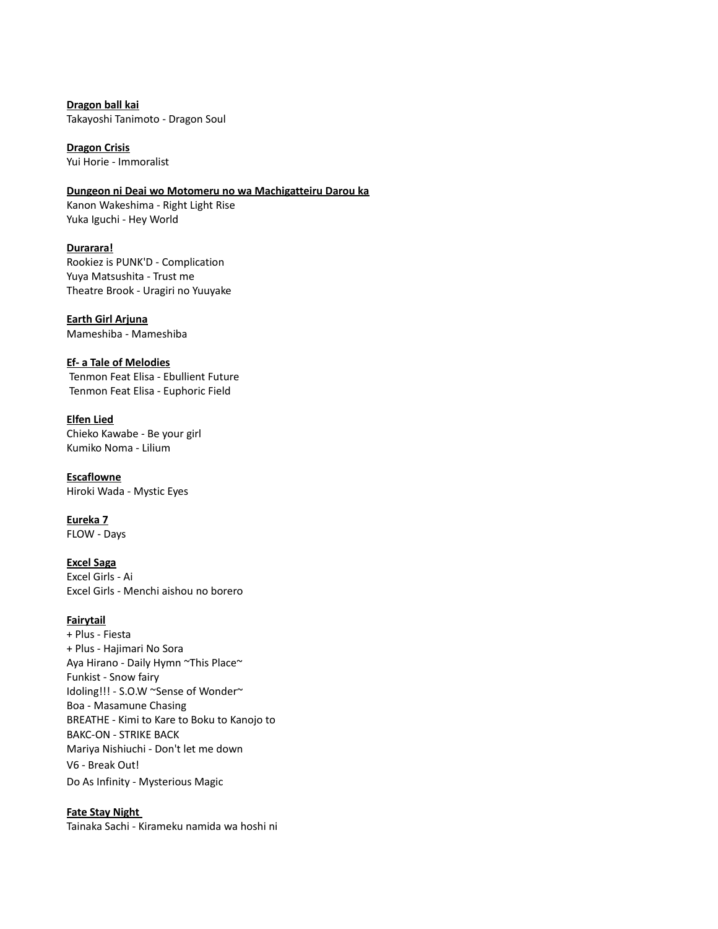**Dragon ball kai** Takayoshi Tanimoto - Dragon Soul

**Dragon Crisis** Yui Horie - Immoralist

## **Dungeon ni Deai wo Motomeru no wa Machigatteiru Darou ka**

Kanon Wakeshima - Right Light Rise Yuka Iguchi - Hey World

**Durarara!** Rookiez is PUNK'D - Complication Yuya Matsushita - Trust me Theatre Brook - Uragiri no Yuuyake

**Earth Girl Arjuna** Mameshiba - Mameshiba

**Ef- a Tale of Melodies**

 Tenmon Feat Elisa - Ebullient Future Tenmon Feat Elisa - Euphoric Field

**Elfen Lied**

Chieko Kawabe - Be your girl Kumiko Noma - Lilium

**Escaflowne** Hiroki Wada - Mystic Eyes

**Eureka 7** FLOW - Days

## **Excel Saga**

Excel Girls - Ai Excel Girls - Menchi aishou no borero

# **Fairytail**

+ Plus - Fiesta + Plus - Hajimari No Sora Aya Hirano - Daily Hymn ~This Place~ Funkist - Snow fairy Idoling!!! - S.O.W ~Sense of Wonder~ Boa - Masamune Chasing BREATHE - Kimi to Kare to Boku to Kanojo to BAKC-ON - STRIKE BACK Mariya Nishiuchi - Don't let me down V6 - Break Out! Do As Infinity - Mysterious Magic

## **Fate Stay Night**

Tainaka Sachi - Kirameku namida wa hoshi ni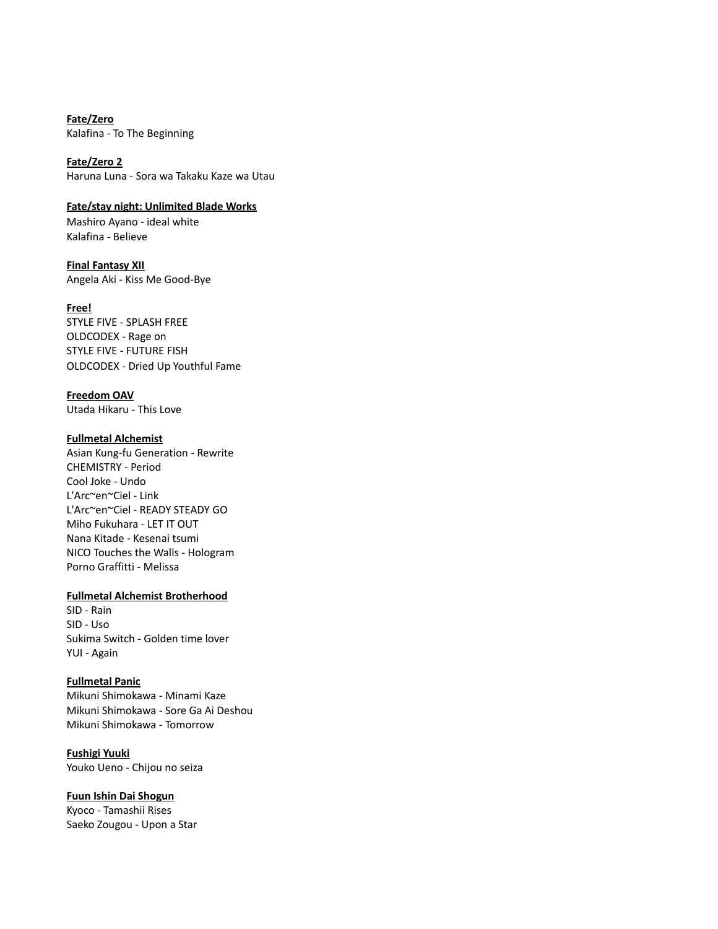**Fate/Zero** Kalafina - To The Beginning

**Fate/Zero 2** Haruna Luna - Sora wa Takaku Kaze wa Utau

**Fate/stay night: Unlimited Blade Works** Mashiro Ayano - ideal white Kalafina - Believe

**Final Fantasy XII** Angela Aki - Kiss Me Good-Bye

**Free!** STYLE FIVE - SPLASH FREE OLDCODEX - Rage on STYLE FIVE - FUTURE FISH OLDCODEX - Dried Up Youthful Fame

**Freedom OAV** Utada Hikaru - This Love

## **Fullmetal Alchemist**

Asian Kung-fu Generation - Rewrite CHEMISTRY - Period Cool Joke - Undo L'Arc~en~Ciel - Link L'Arc~en~Ciel - READY STEADY GO Miho Fukuhara - LET IT OUT Nana Kitade - Kesenai tsumi NICO Touches the Walls - Hologram Porno Graffitti - Melissa

## **Fullmetal Alchemist Brotherhood**

SID - Rain SID - Uso Sukima Switch - Golden time lover YUI - Again

#### **Fullmetal Panic**

Mikuni Shimokawa - Minami Kaze Mikuni Shimokawa - Sore Ga Ai Deshou Mikuni Shimokawa - Tomorrow

**Fushigi Yuuki** Youko Ueno - Chijou no seiza

## **Fuun Ishin Dai Shogun**

Kyoco - Tamashii Rises Saeko Zougou - Upon a Star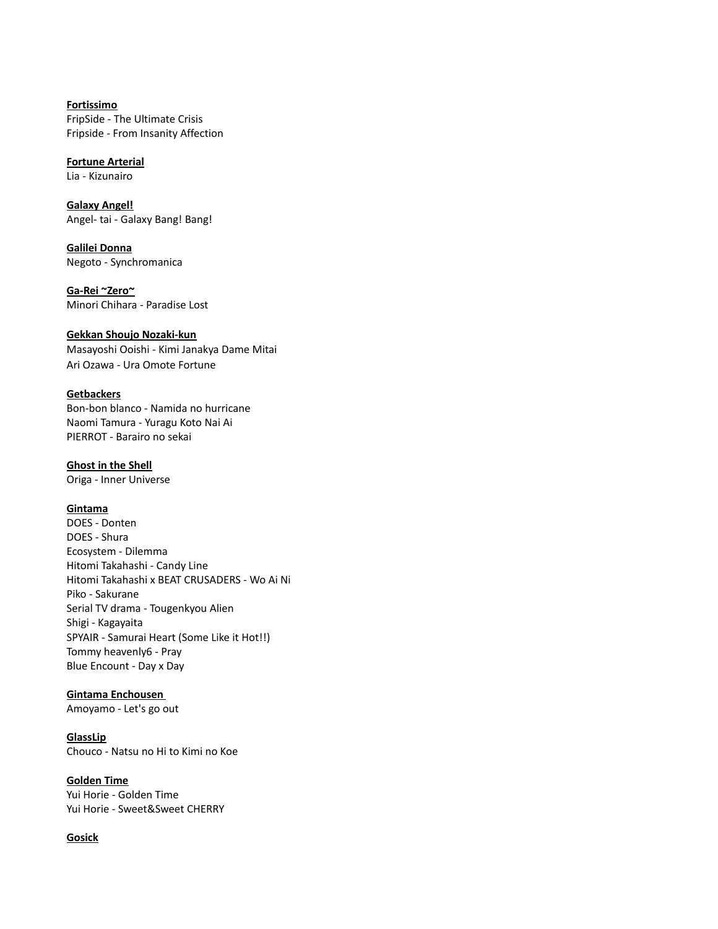**Fortissimo** FripSide - The Ultimate Crisis Fripside - From Insanity Affection

**Fortune Arterial** Lia - Kizunairo

**Galaxy Angel!**

Angel- tai - Galaxy Bang! Bang!

**Galilei Donna** Negoto - Synchromanica

**Ga-Rei ~Zero~** Minori Chihara - Paradise Lost

## **Gekkan Shoujo Nozaki-kun**

Masayoshi Ooishi - Kimi Janakya Dame Mitai Ari Ozawa - Ura Omote Fortune

# **Getbackers**

Bon-bon blanco - Namida no hurricane Naomi Tamura - Yuragu Koto Nai Ai PIERROT - Barairo no sekai

## **Ghost in the Shell**

Origa - Inner Universe

# **Gintama**

DOES - Donten DOES - Shura Ecosystem - Dilemma Hitomi Takahashi - Candy Line Hitomi Takahashi x BEAT CRUSADERS - Wo Ai Ni Piko - Sakurane Serial TV drama - Tougenkyou Alien Shigi - Kagayaita SPYAIR - Samurai Heart (Some Like it Hot!!) Tommy heavenly6 - Pray Blue Encount - Day x Day

# **Gintama Enchousen**

Amoyamo - Let's go out

## **GlassLip**

Chouco - Natsu no Hi to Kimi no Koe

# **Golden Time**

Yui Horie - Golden Time Yui Horie - Sweet&Sweet CHERRY

# **Gosick**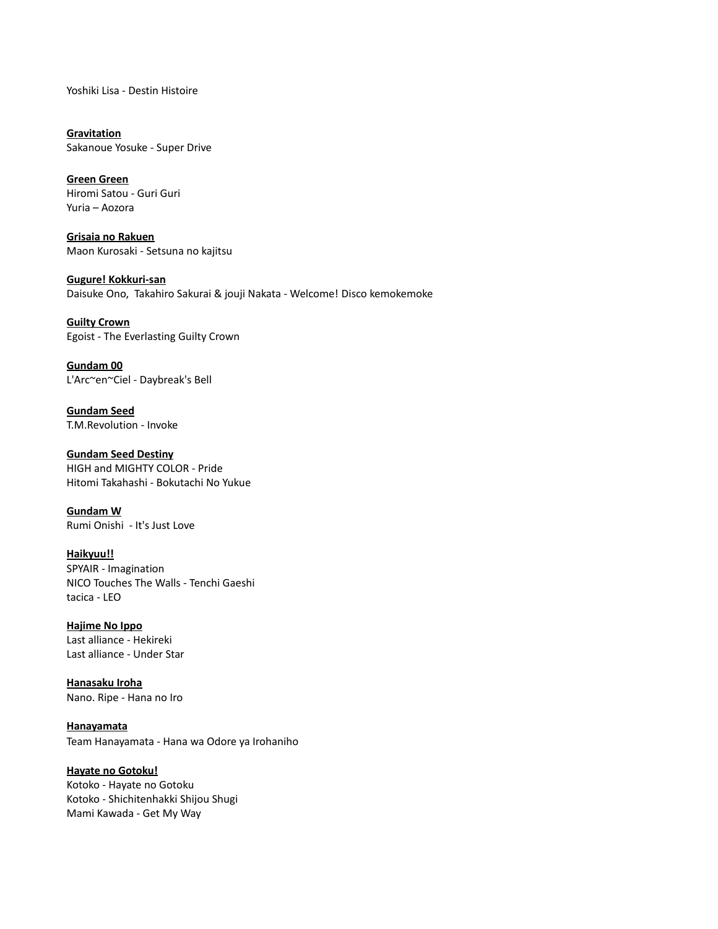Yoshiki Lisa - Destin Histoire

**Gravitation** Sakanoue Yosuke - Super Drive

**Green Green** Hiromi Satou - Guri Guri Yuria – Aozora

**Grisaia no Rakuen** Maon Kurosaki - Setsuna no kajitsu

**Gugure! Kokkuri-san** Daisuke Ono, Takahiro Sakurai & jouji Nakata - Welcome! Disco kemokemoke

**Guilty Crown** Egoist - The Everlasting Guilty Crown

**Gundam 00** L'Arc~en~Ciel - Daybreak's Bell

**Gundam Seed** T.M.Revolution - Invoke

**Gundam Seed Destiny** HIGH and MIGHTY COLOR - Pride Hitomi Takahashi - Bokutachi No Yukue

**Gundam W** Rumi Onishi - It's Just Love

**Haikyuu!!** SPYAIR - Imagination NICO Touches The Walls - Tenchi Gaeshi tacica - LEO

**Hajime No Ippo** Last alliance - Hekireki Last alliance - Under Star

**Hanasaku Iroha** Nano. Ripe - Hana no Iro

**Hanayamata** Team Hanayamata - Hana wa Odore ya Irohaniho

**Hayate no Gotoku!** Kotoko - Hayate no Gotoku Kotoko - Shichitenhakki Shijou Shugi Mami Kawada - Get My Way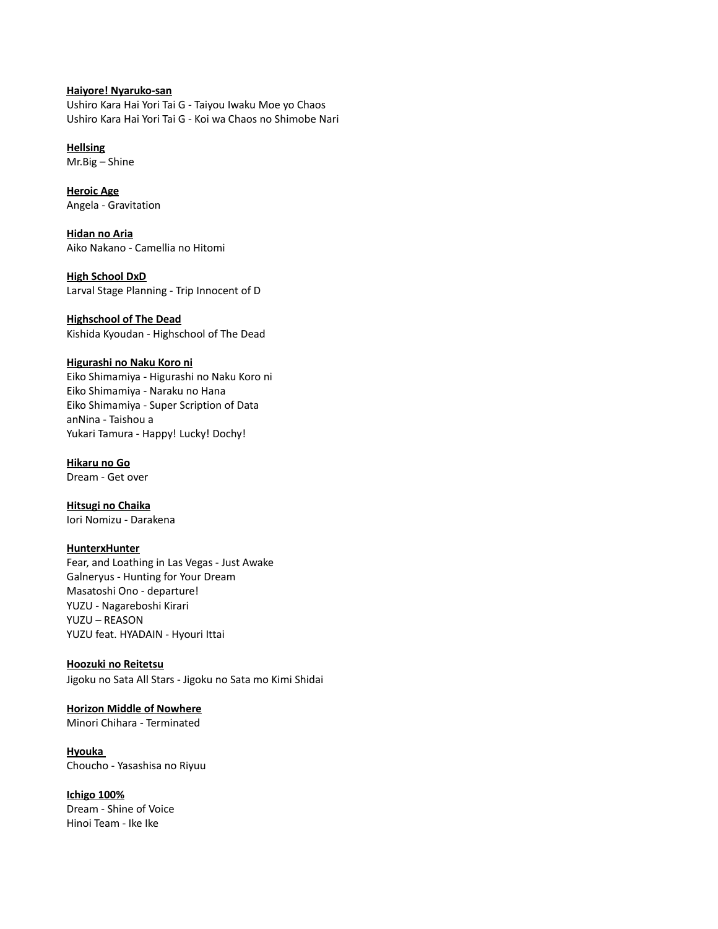## **Haiyore! Nyaruko-san**

Ushiro Kara Hai Yori Tai G - Taiyou Iwaku Moe yo Chaos Ushiro Kara Hai Yori Tai G - Koi wa Chaos no Shimobe Nari

**Hellsing** Mr.Big – Shine

**Heroic Age** Angela - Gravitation

**Hidan no Aria** Aiko Nakano - Camellia no Hitomi

**High School DxD** Larval Stage Planning - Trip Innocent of D

## **Highschool of The Dead**

Kishida Kyoudan - Highschool of The Dead

## **Higurashi no Naku Koro ni**

Eiko Shimamiya - Higurashi no Naku Koro ni Eiko Shimamiya - Naraku no Hana Eiko Shimamiya - Super Scription of Data anNina - Taishou a Yukari Tamura - Happy! Lucky! Dochy!

**Hikaru no Go** Dream - Get over

**Hitsugi no Chaika** Iori Nomizu - Darakena

## **HunterxHunter**

Fear, and Loathing in Las Vegas - Just Awake Galneryus - Hunting for Your Dream Masatoshi Ono - departure! YUZU - Nagareboshi Kirari YUZU – REASON YUZU feat. HYADAIN - Hyouri Ittai

**Hoozuki no Reitetsu** Jigoku no Sata All Stars - Jigoku no Sata mo Kimi Shidai

# **Horizon Middle of Nowhere**

Minori Chihara - Terminated

**Hyouka** 

Choucho - Yasashisa no Riyuu

## **Ichigo 100%**

Dream - Shine of Voice Hinoi Team - Ike Ike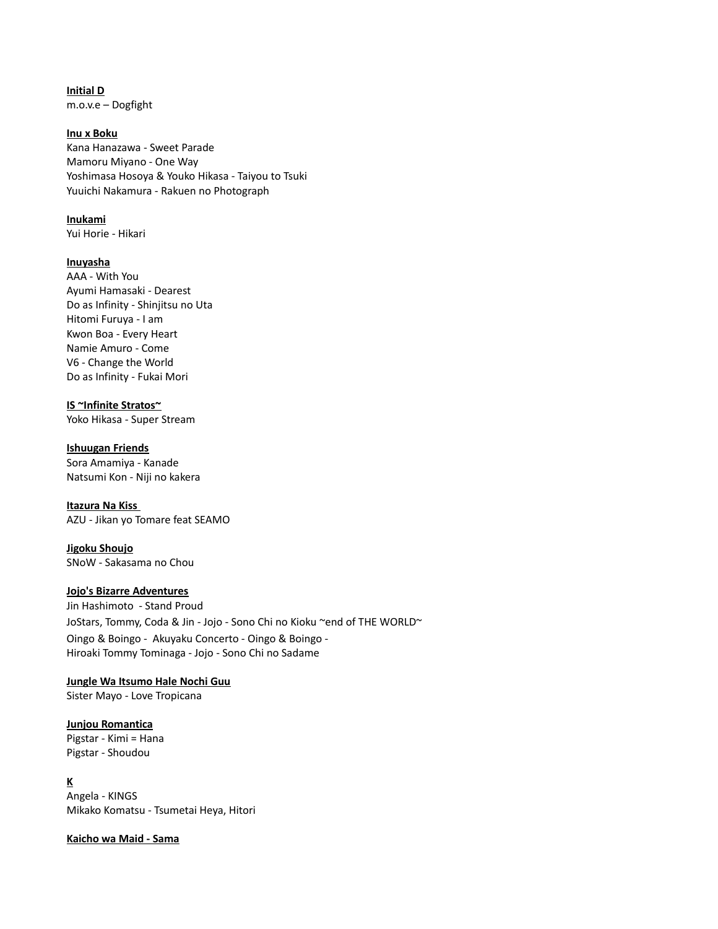**Initial D** m.o.v.e – Dogfight

#### **Inu x Boku**

Kana Hanazawa - Sweet Parade Mamoru Miyano - One Way Yoshimasa Hosoya & Youko Hikasa - Taiyou to Tsuki Yuuichi Nakamura - Rakuen no Photograph

#### **Inukami**

Yui Horie - Hikari

#### **Inuyasha**

AAA - With You Ayumi Hamasaki - Dearest Do as Infinity - Shinjitsu no Uta Hitomi Furuya - I am Kwon Boa - Every Heart Namie Amuro - Come V6 - Change the World Do as Infinity - Fukai Mori

# **IS ~Infinite Stratos~**

Yoko Hikasa - Super Stream

## **Ishuugan Friends**

Sora Amamiya - Kanade Natsumi Kon - Niji no kakera

## **Itazura Na Kiss**

AZU - Jikan yo Tomare feat SEAMO

**Jigoku Shoujo** SNoW - Sakasama no Chou

## **Jojo's Bizarre Adventures**

Jin Hashimoto - Stand Proud JoStars, Tommy, Coda & Jin - Jojo - Sono Chi no Kioku ~end of THE WORLD~ Oingo & Boingo - Akuyaku Concerto - Oingo & Boingo - Hiroaki Tommy Tominaga - Jojo - Sono Chi no Sadame

# **Jungle Wa Itsumo Hale Nochi Guu**

Sister Mayo - Love Tropicana

# **Junjou Romantica**

Pigstar - Kimi = Hana Pigstar - Shoudou

## **K**

Angela - KINGS Mikako Komatsu - Tsumetai Heya, Hitori

## **Kaicho wa Maid - Sama**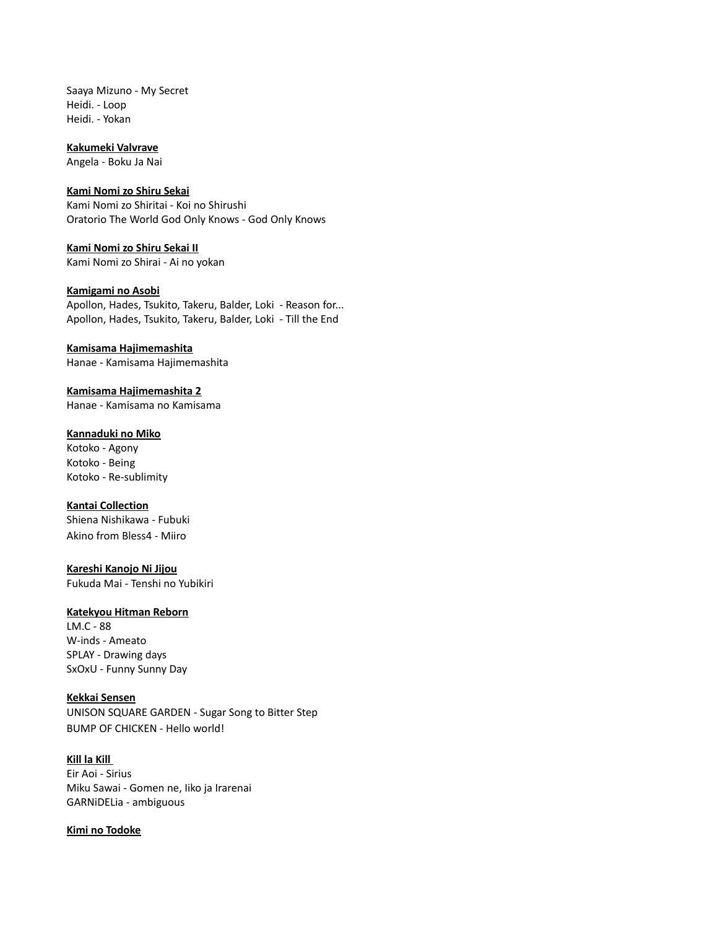Saaya Mizuno - My Secret Heidi. - Loop Heidi. - Yokan

**Kakumeki Valvrave**

Angela - Boku Ja Nai

#### **Kami Nomi zo Shiru Sekai**

Kami Nomi zo Shiritai - Koi no Shirushi Oratorio The World God Only Knows - God Only Knows

**Kami Nomi zo Shiru Sekai II** Kami Nomi zo Shirai - Ai no yokan

#### **Kamigami no Asobi**

Apollon, Hades, Tsukito, Takeru, Balder, Loki - Reason for... Apollon, Hades, Tsukito, Takeru, Balder, Loki - Till the End

## **Kamisama Hajimemashita**

Hanae - Kamisama Hajimemashita

**Kamisama Hajimemashita 2** Hanae - Kamisama no Kamisama

## **Kannaduki no Miko**

Kotoko - Agony Kotoko - Being Kotoko - Re-sublimity

#### **Kantai Collection**

Shiena Nishikawa - Fubuki Akino from Bless4 - Miiro

**Kareshi Kanojo Ni Jijou** Fukuda Mai - Tenshi no Yubikiri

#### **Katekyou Hitman Reborn**

LM.C - 88 W-inds - Ameato SPLAY - Drawing days SxOxU - Funny Sunny Day

#### **Kekkai Sensen**

UNISON SQUARE GARDEN - Sugar Song to Bitter Step BUMP OF CHICKEN - Hello world!

# **Kill la Kill**

Eir Aoi - Sirius Miku Sawai - Gomen ne, Iiko ja Irarenai GARNiDELia - ambiguous

#### **Kimi no Todoke**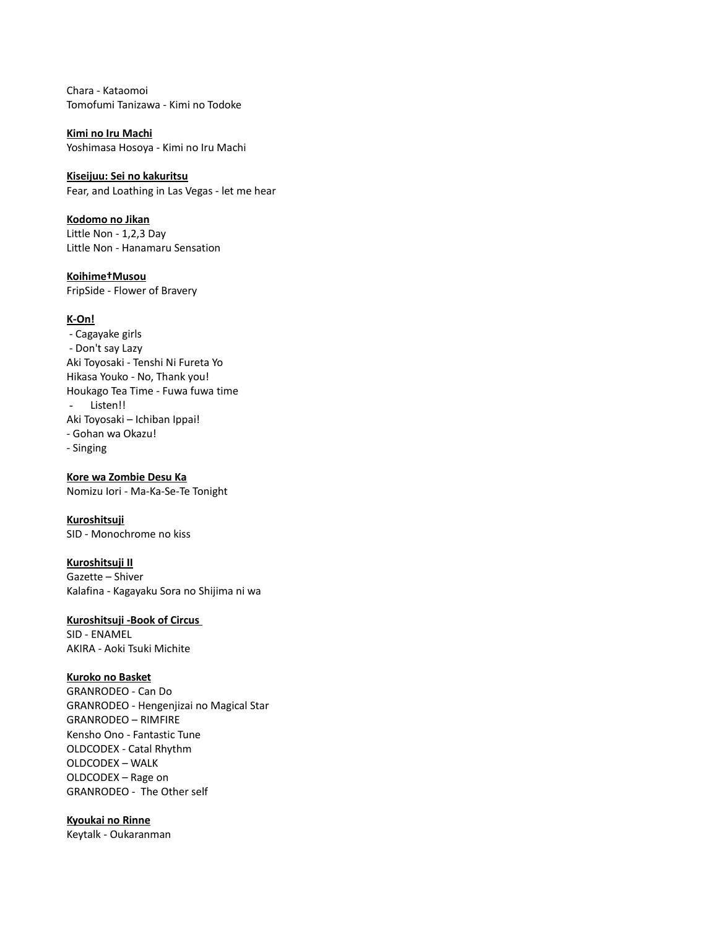Chara - Kataomoi Tomofumi Tanizawa - Kimi no Todoke

**Kimi no Iru Machi** Yoshimasa Hosoya - Kimi no Iru Machi

**Kiseijuu: Sei no kakuritsu** Fear, and Loathing in Las Vegas - let me hear

**Kodomo no Jikan** Little Non - 1,2,3 Day Little Non - Hanamaru Sensation

**Koihime†Musou** FripSide - Flower of Bravery

### **K-On!**

- Cagayake girls - Don't say Lazy Aki Toyosaki - Tenshi Ni Fureta Yo Hikasa Youko - No, Thank you! Houkago Tea Time - Fuwa fuwa time - Listen!! Aki Toyosaki – Ichiban Ippai! - Gohan wa Okazu!
- Singing

**Kore wa Zombie Desu Ka** Nomizu Iori - Ma-Ka-Se-Te Tonight

**Kuroshitsuji** SID - Monochrome no kiss

## **Kuroshitsuji II**

Gazette – Shiver Kalafina - Kagayaku Sora no Shijima ni wa

# **Kuroshitsuji -Book of Circus**

SID - ENAMEL AKIRA - Aoki Tsuki Michite

#### **Kuroko no Basket**

GRANRODEO - Can Do GRANRODEO - Hengenjizai no Magical Star GRANRODEO – RIMFIRE Kensho Ono - Fantastic Tune OLDCODEX - Catal Rhythm OLDCODEX – WALK OLDCODEX – Rage on GRANRODEO - The Other self

#### **Kyoukai no Rinne**

Keytalk - Oukaranman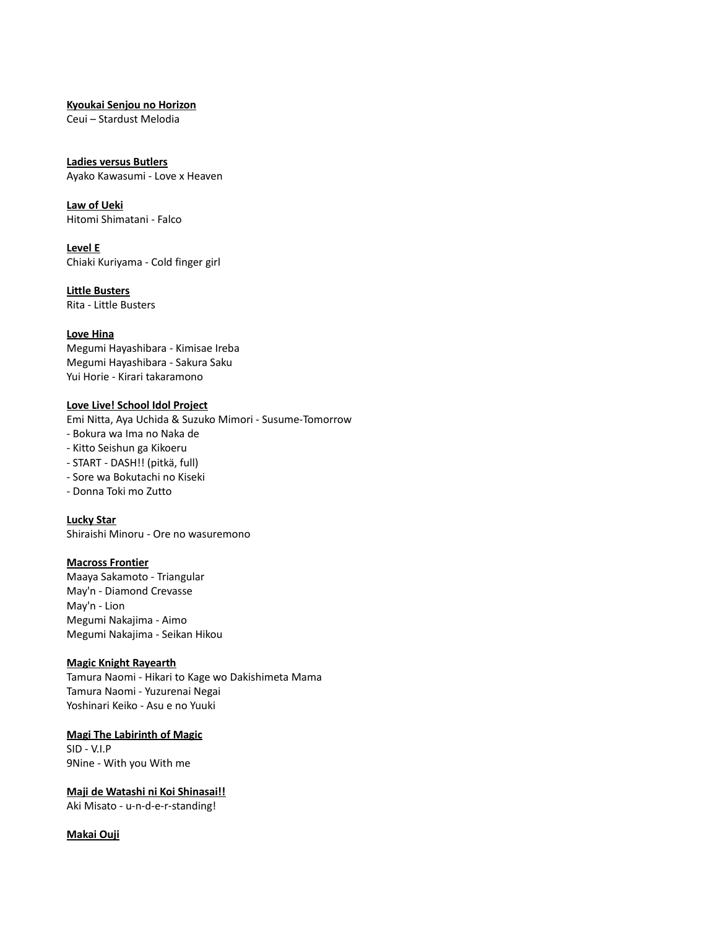#### **Kyoukai Senjou no Horizon**

Ceui – Stardust Melodia

## **Ladies versus Butlers**

Ayako Kawasumi - Love x Heaven

# **Law of Ueki**

Hitomi Shimatani - Falco

**Level E** Chiaki Kuriyama - Cold finger girl

**Little Busters** Rita - Little Busters

## **Love Hina**

Megumi Hayashibara - Kimisae Ireba Megumi Hayashibara - Sakura Saku Yui Horie - Kirari takaramono

## **Love Live! School Idol Project**

Emi Nitta, Aya Uchida & Suzuko Mimori - Susume-Tomorrow

- Bokura wa Ima no Naka de
- Kitto Seishun ga Kikoeru
- START DASH!! (pitkä, full)
- Sore wa Bokutachi no Kiseki
- Donna Toki mo Zutto

**Lucky Star** Shiraishi Minoru - Ore no wasuremono

## **Macross Frontier**

Maaya Sakamoto - Triangular May'n - Diamond Crevasse May'n - Lion Megumi Nakajima - Aimo Megumi Nakajima - Seikan Hikou

## **Magic Knight Rayearth**

Tamura Naomi - Hikari to Kage wo Dakishimeta Mama Tamura Naomi - Yuzurenai Negai Yoshinari Keiko - Asu e no Yuuki

## **Magi The Labirinth of Magic**

SID - V.I.P 9Nine - With you With me

# **Maji de Watashi ni Koi Shinasai!!**

Aki Misato - u-n-d-e-r-standing!

## **Makai Ouji**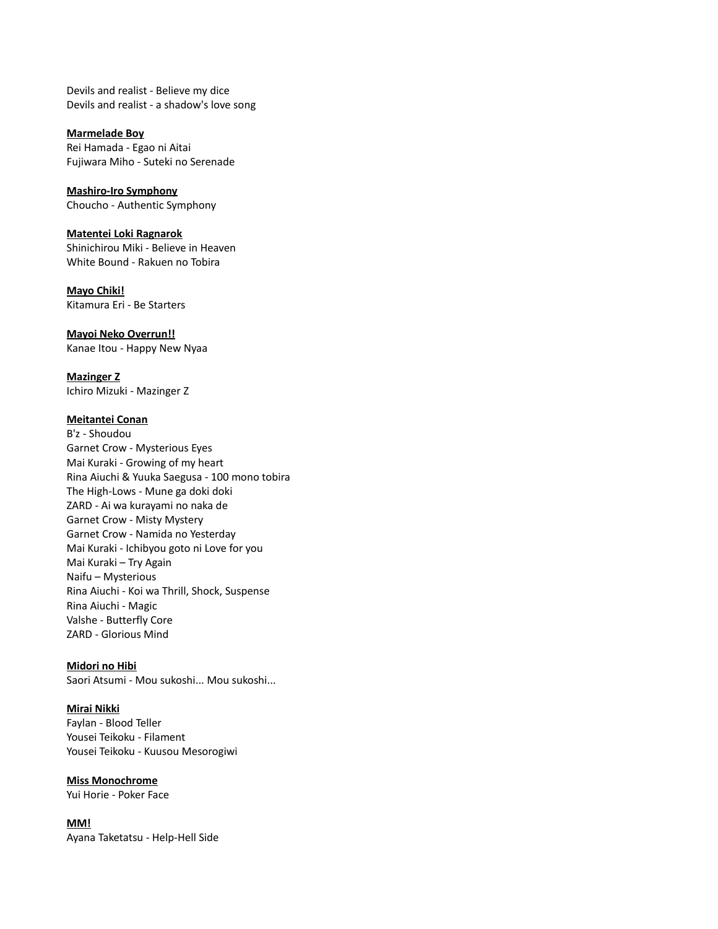Devils and realist - Believe my dice Devils and realist - a shadow's love song

**Marmelade Boy** Rei Hamada - Egao ni Aitai Fujiwara Miho - Suteki no Serenade

**Mashiro-Iro Symphony** Choucho - Authentic Symphony

# **Matentei Loki Ragnarok**

Shinichirou Miki - Believe in Heaven White Bound - Rakuen no Tobira

**Mayo Chiki!** Kitamura Eri - Be Starters

**Mayoi Neko Overrun!!**

Kanae Itou - Happy New Nyaa

**Mazinger Z** Ichiro Mizuki - Mazinger Z

## **Meitantei Conan**

B'z - Shoudou Garnet Crow - Mysterious Eyes Mai Kuraki - Growing of my heart Rina Aiuchi & Yuuka Saegusa - 100 mono tobira The High-Lows - Mune ga doki doki ZARD - Ai wa kurayami no naka de Garnet Crow - Misty Mystery Garnet Crow - Namida no Yesterday Mai Kuraki - Ichibyou goto ni Love for you Mai Kuraki – Try Again Naifu – Mysterious Rina Aiuchi - Koi wa Thrill, Shock, Suspense Rina Aiuchi - Magic Valshe - Butterfly Core ZARD - Glorious Mind

## **Midori no Hibi**

Saori Atsumi - Mou sukoshi... Mou sukoshi...

## **Mirai Nikki**

Faylan - Blood Teller Yousei Teikoku - Filament Yousei Teikoku - Kuusou Mesorogiwi

## **Miss Monochrome**

Yui Horie - Poker Face

## **MM!**

Ayana Taketatsu - Help-Hell Side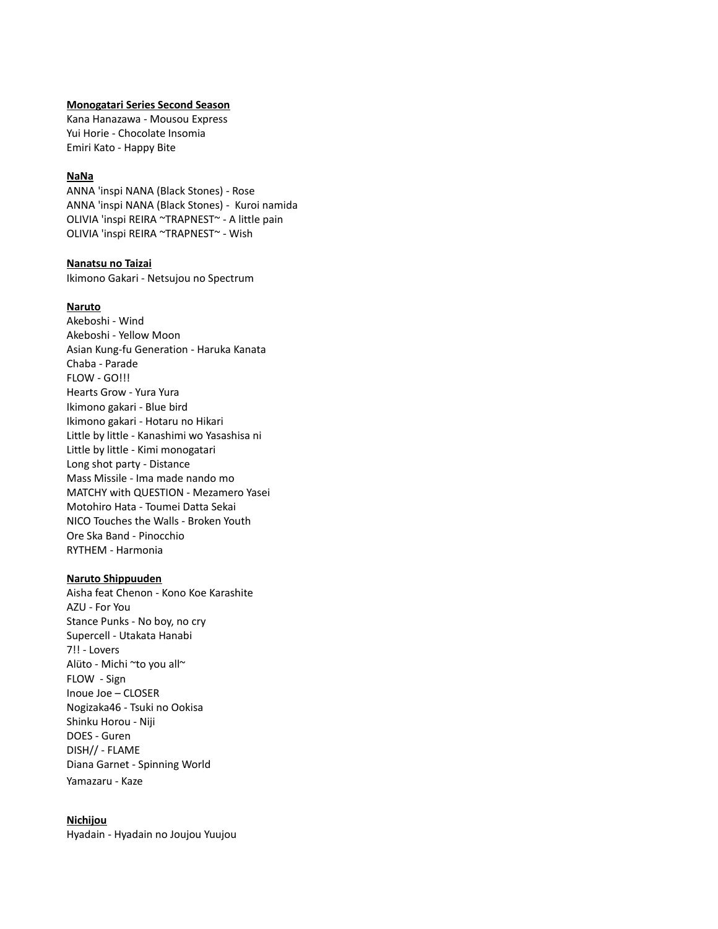#### **Monogatari Series Second Season**

Kana Hanazawa - Mousou Express Yui Horie - Chocolate Insomia Emiri Kato - Happy Bite

#### **NaNa**

ANNA 'inspi NANA (Black Stones) - Rose ANNA 'inspi NANA (Black Stones) - Kuroi namida OLIVIA 'inspi REIRA ~TRAPNEST~ - A little pain OLIVIA 'inspi REIRA ~TRAPNEST~ - Wish

#### **Nanatsu no Taizai**

Ikimono Gakari - Netsujou no Spectrum

#### **Naruto**

Akeboshi - Wind Akeboshi - Yellow Moon Asian Kung-fu Generation - Haruka Kanata Chaba - Parade FLOW - GO!!! Hearts Grow - Yura Yura Ikimono gakari - Blue bird Ikimono gakari - Hotaru no Hikari Little by little - Kanashimi wo Yasashisa ni Little by little - Kimi monogatari Long shot party - Distance Mass Missile - Ima made nando mo MATCHY with QUESTION - Mezamero Yasei Motohiro Hata - Toumei Datta Sekai NICO Touches the Walls - Broken Youth Ore Ska Band - Pinocchio RYTHEM - Harmonia

#### **Naruto Shippuuden**

Aisha feat Chenon - Kono Koe Karashite AZU - For You Stance Punks - No boy, no cry Supercell - Utakata Hanabi 7!! - Lovers Alüto - Michi ~to you all~ FLOW - Sign Inoue Joe – CLOSER Nogizaka46 - Tsuki no Ookisa Shinku Horou - Niji DOES - Guren DISH// - FLAME Diana Garnet - Spinning World Yamazaru - Kaze

#### **Nichijou**

Hyadain - Hyadain no Joujou Yuujou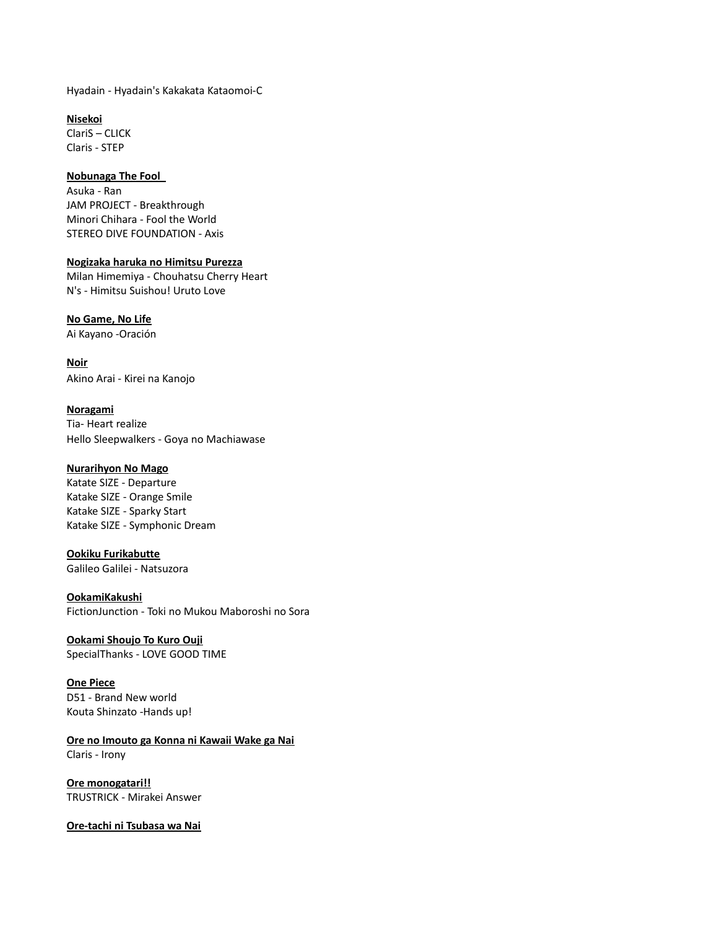Hyadain - Hyadain's Kakakata Kataomoi-C

**Nisekoi** ClariS – CLICK Claris - STEP

#### **Nobunaga The Fool**

Asuka - Ran JAM PROJECT - Breakthrough Minori Chihara - Fool the World STEREO DIVE FOUNDATION - Axis

#### **Nogizaka haruka no Himitsu Purezza**

Milan Himemiya - Chouhatsu Cherry Heart N's - Himitsu Suishou! Uruto Love

## **No Game, No Life**

Ai Kayano -Oración

**Noir** Akino Arai - Kirei na Kanojo

**Noragami** Tia- Heart realize Hello Sleepwalkers - Goya no Machiawase

## **Nurarihyon No Mago**

Katate SIZE - Departure Katake SIZE - Orange Smile Katake SIZE - Sparky Start Katake SIZE - Symphonic Dream

**Ookiku Furikabutte** Galileo Galilei - Natsuzora

## **OokamiKakushi**

FictionJunction - Toki no Mukou Maboroshi no Sora

**Ookami Shoujo To Kuro Ouji** SpecialThanks - LOVE GOOD TIME

**One Piece** D51 - Brand New world Kouta Shinzato -Hands up!

**Ore no Imouto ga Konna ni Kawaii Wake ga Nai** Claris - Irony

**Ore monogatari!!** TRUSTRICK - Mirakei Answer

**Ore-tachi ni Tsubasa wa Nai**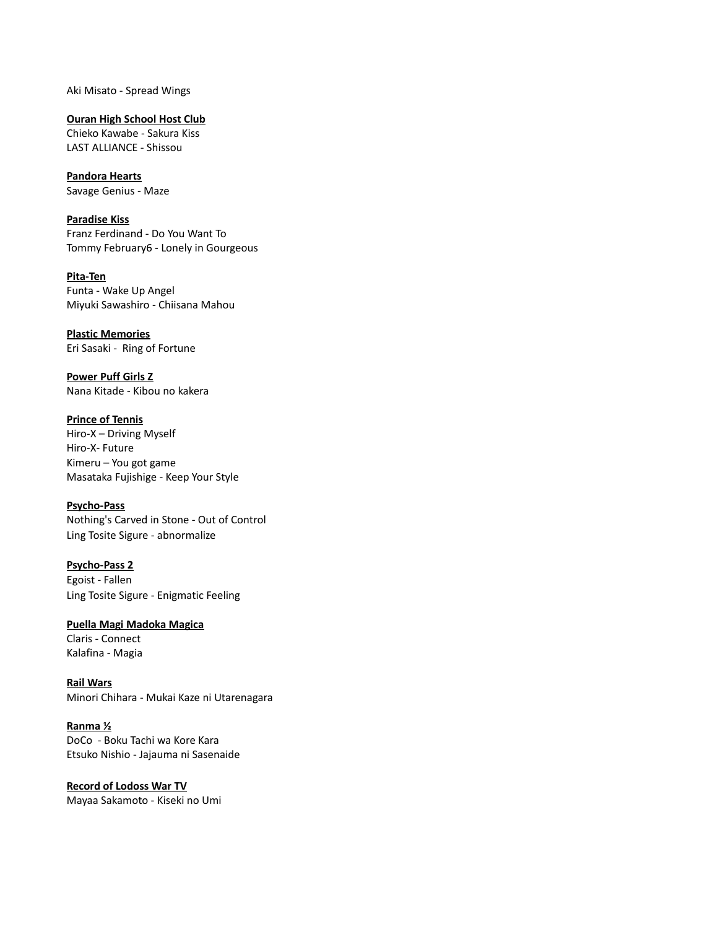Aki Misato - Spread Wings

**Ouran High School Host Club** Chieko Kawabe - Sakura Kiss

LAST ALLIANCE - Shissou

**Pandora Hearts** Savage Genius - Maze

**Paradise Kiss** Franz Ferdinand - Do You Want To Tommy February6 - Lonely in Gourgeous

**Pita-Ten** Funta - Wake Up Angel Miyuki Sawashiro - Chiisana Mahou

**Plastic Memories** Eri Sasaki - Ring of Fortune

**Power Puff Girls Z** Nana Kitade - Kibou no kakera

**Prince of Tennis** Hiro-X – Driving Myself Hiro-X- Future Kimeru – You got game Masataka Fujishige - Keep Your Style

**Psycho-Pass** Nothing's Carved in Stone - Out of Control Ling Tosite Sigure - abnormalize

**Psycho-Pass 2** Egoist - Fallen Ling Tosite Sigure - Enigmatic Feeling

**Puella Magi Madoka Magica** Claris - Connect Kalafina - Magia

**Rail Wars** Minori Chihara - Mukai Kaze ni Utarenagara

**Ranma ½** DoCo - Boku Tachi wa Kore Kara Etsuko Nishio - Jajauma ni Sasenaide

**Record of Lodoss War TV** Mayaa Sakamoto - Kiseki no Umi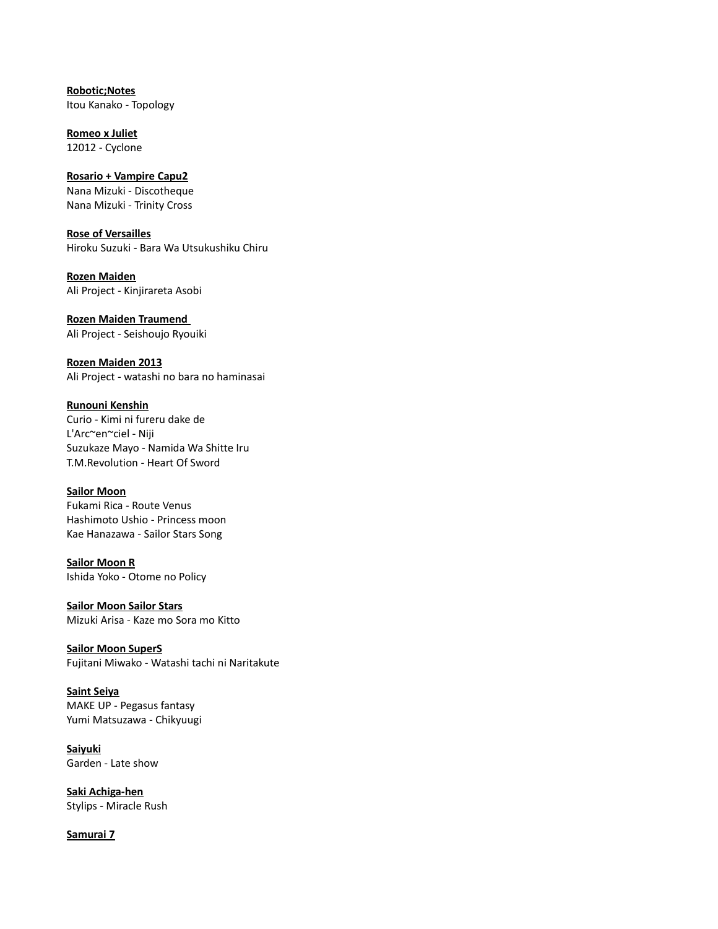**Robotic;Notes** Itou Kanako - Topology

**Romeo x Juliet** 12012 - Cyclone

**Rosario + Vampire Capu2** Nana Mizuki - Discotheque Nana Mizuki - Trinity Cross

**Rose of Versailles** Hiroku Suzuki - Bara Wa Utsukushiku Chiru

**Rozen Maiden** Ali Project - Kinjirareta Asobi

**Rozen Maiden Traumend**  Ali Project - Seishoujo Ryouiki

**Rozen Maiden 2013** Ali Project - watashi no bara no haminasai

**Runouni Kenshin** Curio - Kimi ni fureru dake de L'Arc~en~ciel - Niji Suzukaze Mayo - Namida Wa Shitte Iru T.M.Revolution - Heart Of Sword

# **Sailor Moon**

Fukami Rica - Route Venus Hashimoto Ushio - Princess moon Kae Hanazawa - Sailor Stars Song

**Sailor Moon R** Ishida Yoko - Otome no Policy

**Sailor Moon Sailor Stars** Mizuki Arisa - Kaze mo Sora mo Kitto

**Sailor Moon SuperS** Fujitani Miwako - Watashi tachi ni Naritakute

**Saint Seiya** MAKE UP - Pegasus fantasy Yumi Matsuzawa - Chikyuugi

**Saiyuki** Garden - Late show

**Saki Achiga-hen** Stylips - Miracle Rush

**Samurai 7**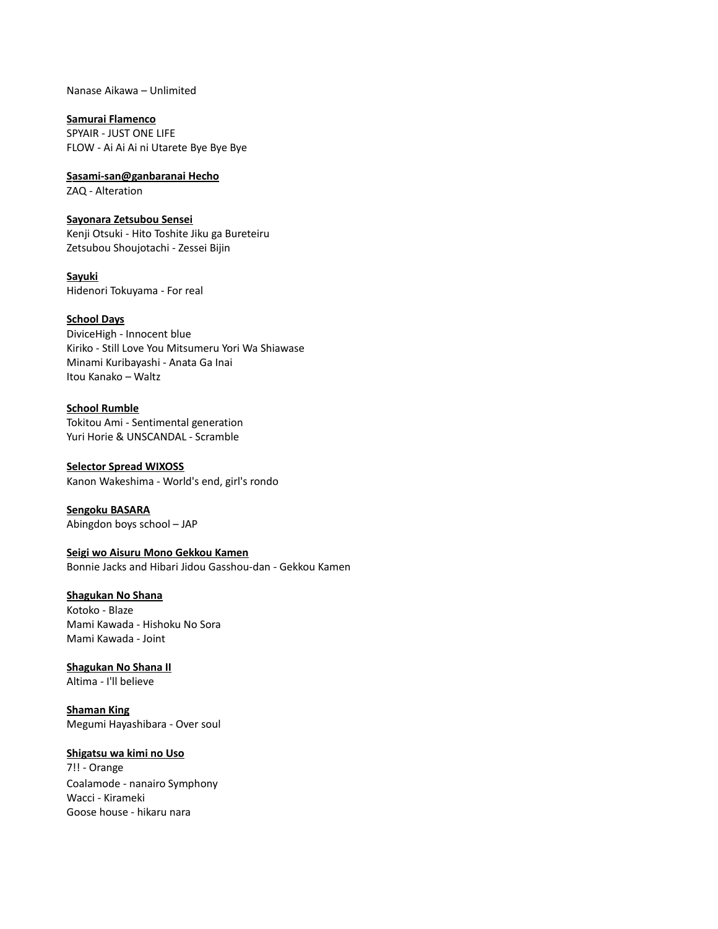Nanase Aikawa – Unlimited

**Samurai Flamenco** SPYAIR - JUST ONE LIFE

FLOW - Ai Ai Ai ni Utarete Bye Bye Bye

 **Sasami-san@ganbaranai Hecho** ZAQ - Alteration

**Sayonara Zetsubou Sensei** Kenji Otsuki - Hito Toshite Jiku ga Bureteiru Zetsubou Shoujotachi - Zessei Bijin

**Sayuki** Hidenori Tokuyama - For real

## **School Days**

DiviceHigh - Innocent blue Kiriko - Still Love You Mitsumeru Yori Wa Shiawase Minami Kuribayashi - Anata Ga Inai Itou Kanako – Waltz

#### **School Rumble**

Tokitou Ami - Sentimental generation Yuri Horie & UNSCANDAL - Scramble

**Selector Spread WIXOSS** Kanon Wakeshima - World's end, girl's rondo

**Sengoku BASARA** Abingdon boys school – JAP

**Seigi wo Aisuru Mono Gekkou Kamen**

Bonnie Jacks and Hibari Jidou Gasshou-dan - Gekkou Kamen

## **Shagukan No Shana**

Kotoko - Blaze Mami Kawada - Hishoku No Sora Mami Kawada - Joint

**Shagukan No Shana II**

Altima - I'll believe

**Shaman King** Megumi Hayashibara - Over soul

## **Shigatsu wa kimi no Uso**

7!! - Orange Coalamode - nanairo Symphony Wacci - Kirameki Goose house - hikaru nara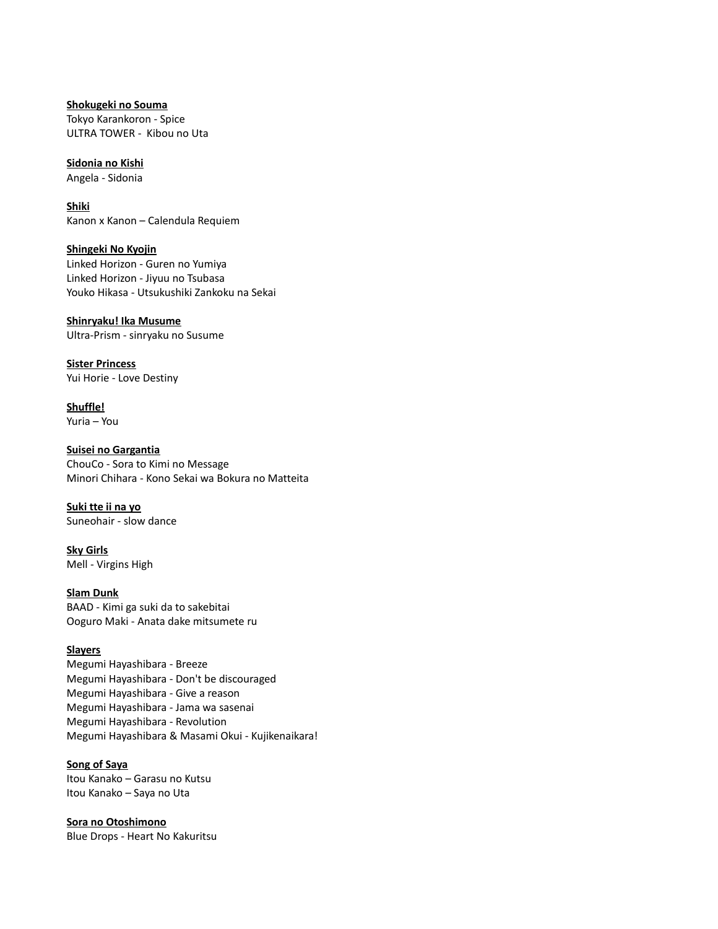**Shokugeki no Souma** Tokyo Karankoron - Spice ULTRA TOWER - Kibou no Uta

#### **Sidonia no Kishi**

Angela - Sidonia

**Shiki** Kanon x Kanon – Calendula Requiem

**Shingeki No Kyojin**

Linked Horizon - Guren no Yumiya Linked Horizon - Jiyuu no Tsubasa Youko Hikasa - Utsukushiki Zankoku na Sekai

### **Shinryaku! Ika Musume**

Ultra-Prism - sinryaku no Susume

**Sister Princess** Yui Horie - Love Destiny

**Shuffle!** Yuria – You

**Suisei no Gargantia** ChouCo - Sora to Kimi no Message Minori Chihara - Kono Sekai wa Bokura no Matteita

**Suki tte ii na yo** Suneohair - slow dance

**Sky Girls** Mell - Virgins High

## **Slam Dunk**

BAAD - Kimi ga suki da to sakebitai Ooguro Maki - Anata dake mitsumete ru

## **Slayers**

Megumi Hayashibara - Breeze Megumi Hayashibara - Don't be discouraged Megumi Hayashibara - Give a reason Megumi Hayashibara - Jama wa sasenai Megumi Hayashibara - Revolution Megumi Hayashibara & Masami Okui - Kujikenaikara!

## **Song of Saya**

Itou Kanako – Garasu no Kutsu Itou Kanako – Saya no Uta

**Sora no Otoshimono** Blue Drops - Heart No Kakuritsu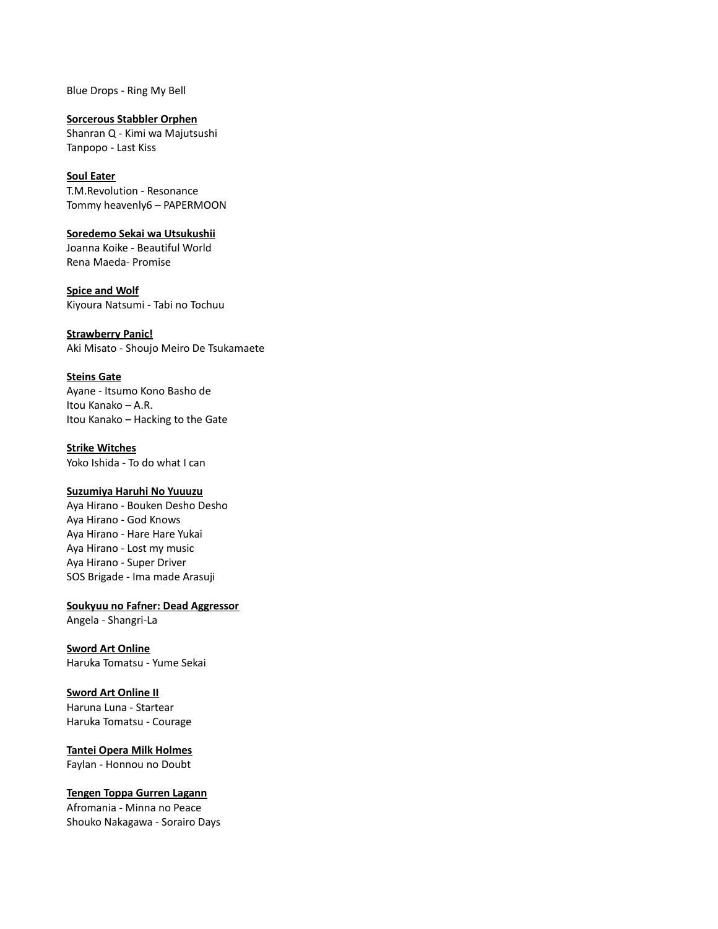Blue Drops - Ring My Bell

**Sorcerous Stabbler Orphen** Shanran Q - Kimi wa Majutsushi Tanpopo - Last Kiss

# **Soul Eater** T.M.Revolution - Resonance

Tommy heavenly6 – PAPERMOON

**Soredemo Sekai wa Utsukushii** Joanna Koike - Beautiful World Rena Maeda- Promise

**Spice and Wolf** Kiyoura Natsumi - Tabi no Tochuu

**Strawberry Panic!** Aki Misato - Shoujo Meiro De Tsukamaete

# **Steins Gate**

Ayane - Itsumo Kono Basho de Itou Kanako – A.R. Itou Kanako – Hacking to the Gate

**Strike Witches** Yoko Ishida - To do what I can

## **Suzumiya Haruhi No Yuuuzu**

Aya Hirano - Bouken Desho Desho Aya Hirano - God Knows Aya Hirano - Hare Hare Yukai Aya Hirano - Lost my music Aya Hirano - Super Driver SOS Brigade - Ima made Arasuji

**Soukyuu no Fafner: Dead Aggressor**

Angela - Shangri-La

**Sword Art Online** Haruka Tomatsu - Yume Sekai

# **Sword Art Online II**

Haruna Luna - Startear Haruka Tomatsu - Courage

**Tantei Opera Milk Holmes**

Faylan - Honnou no Doubt

**Tengen Toppa Gurren Lagann**

Afromania - Minna no Peace Shouko Nakagawa - Sorairo Days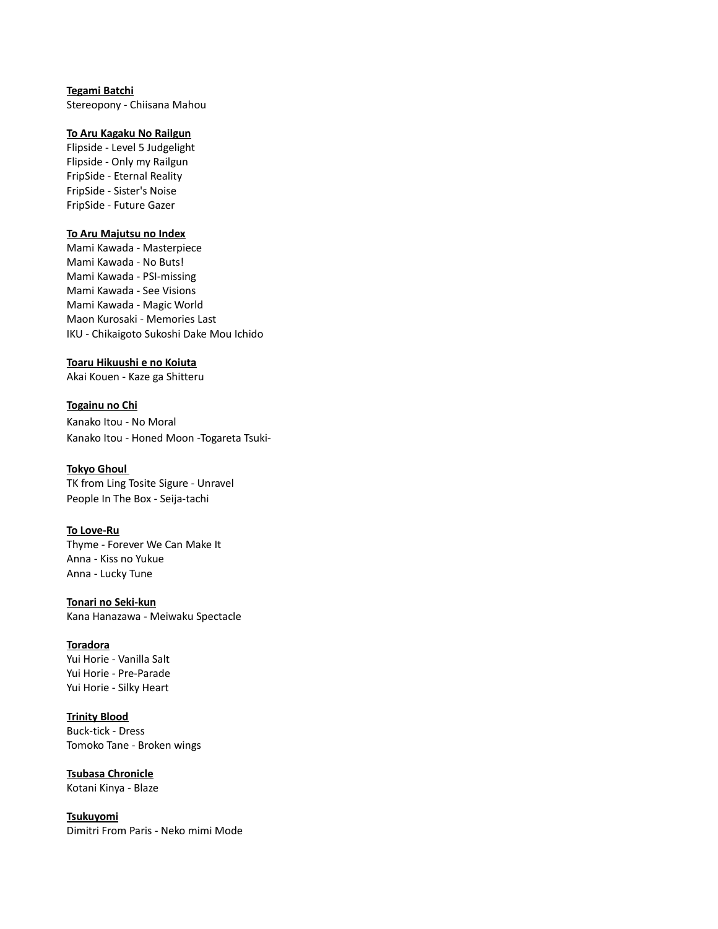# **Tegami Batchi**

Stereopony - Chiisana Mahou

#### **To Aru Kagaku No Railgun**

Flipside - Level 5 Judgelight Flipside - Only my Railgun FripSide - Eternal Reality FripSide - Sister's Noise FripSide - Future Gazer

## **To Aru Majutsu no Index**

Mami Kawada - Masterpiece Mami Kawada - No Buts! Mami Kawada - PSI-missing Mami Kawada - See Visions Mami Kawada - Magic World Maon Kurosaki - Memories Last IKU - Chikaigoto Sukoshi Dake Mou Ichido

#### **Toaru Hikuushi e no Koiuta**

Akai Kouen - Kaze ga Shitteru

**Togainu no Chi** Kanako Itou - No Moral Kanako Itou - Honed Moon -Togareta Tsuki-

### **Tokyo Ghoul**

TK from Ling Tosite Sigure - Unravel People In The Box - Seija-tachi

## **To Love-Ru**

Thyme - Forever We Can Make It Anna - Kiss no Yukue Anna - Lucky Tune

**Tonari no Seki-kun**

# Kana Hanazawa - Meiwaku Spectacle

# **Toradora**

Yui Horie - Vanilla Salt Yui Horie - Pre-Parade Yui Horie - Silky Heart

# **Trinity Blood**

Buck-tick - Dress Tomoko Tane - Broken wings

**Tsubasa Chronicle** Kotani Kinya - Blaze

**Tsukuyomi**

Dimitri From Paris - Neko mimi Mode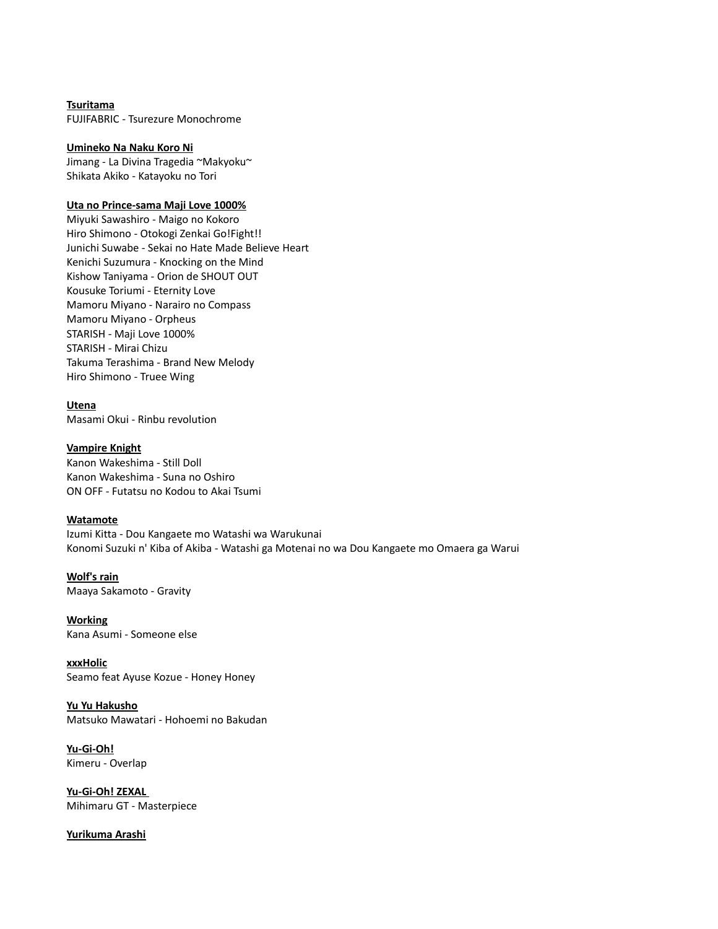**Tsuritama** FUJIFABRIC - Tsurezure Monochrome

#### **Umineko Na Naku Koro Ni**

Jimang - La Divina Tragedia ~Makyoku~ Shikata Akiko - Katayoku no Tori

#### **Uta no Prince-sama Maji Love 1000%**

Miyuki Sawashiro - Maigo no Kokoro Hiro Shimono - Otokogi Zenkai Go!Fight!! Junichi Suwabe - Sekai no Hate Made Believe Heart Kenichi Suzumura - Knocking on the Mind Kishow Taniyama - Orion de SHOUT OUT Kousuke Toriumi - Eternity Love Mamoru Miyano - Narairo no Compass Mamoru Miyano - Orpheus STARISH - Maji Love 1000% STARISH - Mirai Chizu Takuma Terashima - Brand New Melody Hiro Shimono - Truee Wing

**Utena** Masami Okui - Rinbu revolution

#### **Vampire Knight**

Kanon Wakeshima - Still Doll Kanon Wakeshima - Suna no Oshiro ON OFF - Futatsu no Kodou to Akai Tsumi

#### **Watamote**

Izumi Kitta - Dou Kangaete mo Watashi wa Warukunai Konomi Suzuki n' Kiba of Akiba - Watashi ga Motenai no wa Dou Kangaete mo Omaera ga Warui

**Wolf's rain** Maaya Sakamoto - Gravity

**Working** Kana Asumi - Someone else

**xxxHolic** Seamo feat Ayuse Kozue - Honey Honey

**Yu Yu Hakusho** Matsuko Mawatari - Hohoemi no Bakudan

**Yu-Gi-Oh!** Kimeru - Overlap

**Yu-Gi-Oh! ZEXAL**  Mihimaru GT - Masterpiece

**Yurikuma Arashi**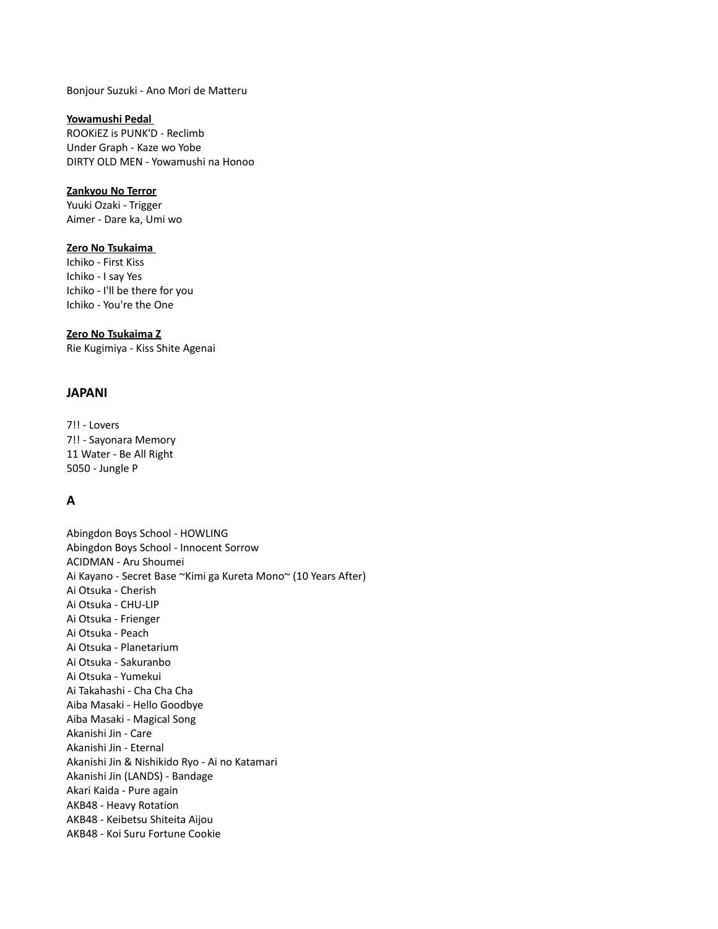## Bonjour Suzuki - Ano Mori de Matteru

#### **Yowamushi Pedal**

ROOKiEZ is PUNK'D - Reclimb Under Graph - Kaze wo Yobe DIRTY OLD MEN - Yowamushi na Honoo

#### **Zankyou No Terror**

Yuuki Ozaki - Trigger Aimer - Dare ka, Umi wo

#### **Zero No Tsukaima**

Ichiko - First Kiss Ichiko - I say Yes Ichiko - I'll be there for you Ichiko - You're the One

#### **Zero No Tsukaima Z**

Rie Kugimiya - Kiss Shite Agenai

### **JAPANI**

7!! - Lovers 7!! - Sayonara Memory 11 Water - Be All Right 5050 - Jungle P

# **A**

Abingdon Boys School - HOWLING Abingdon Boys School - Innocent Sorrow ACIDMAN - Aru Shoumei Ai Kayano - Secret Base ~Kimi ga Kureta Mono~ (10 Years After) Ai Otsuka - Cherish Ai Otsuka - CHU-LIP Ai Otsuka - Frienger Ai Otsuka - Peach Ai Otsuka - Planetarium Ai Otsuka - Sakuranbo Ai Otsuka - Yumekui Ai Takahashi - Cha Cha Cha Aiba Masaki - Hello Goodbye Aiba Masaki - Magical Song Akanishi Jin - Care Akanishi Jin - Eternal Akanishi Jin & Nishikido Ryo - Ai no Katamari Akanishi Jin (LANDS) - Bandage Akari Kaida - Pure again AKB48 - Heavy Rotation AKB48 - Keibetsu Shiteita Aijou AKB48 - Koi Suru Fortune Cookie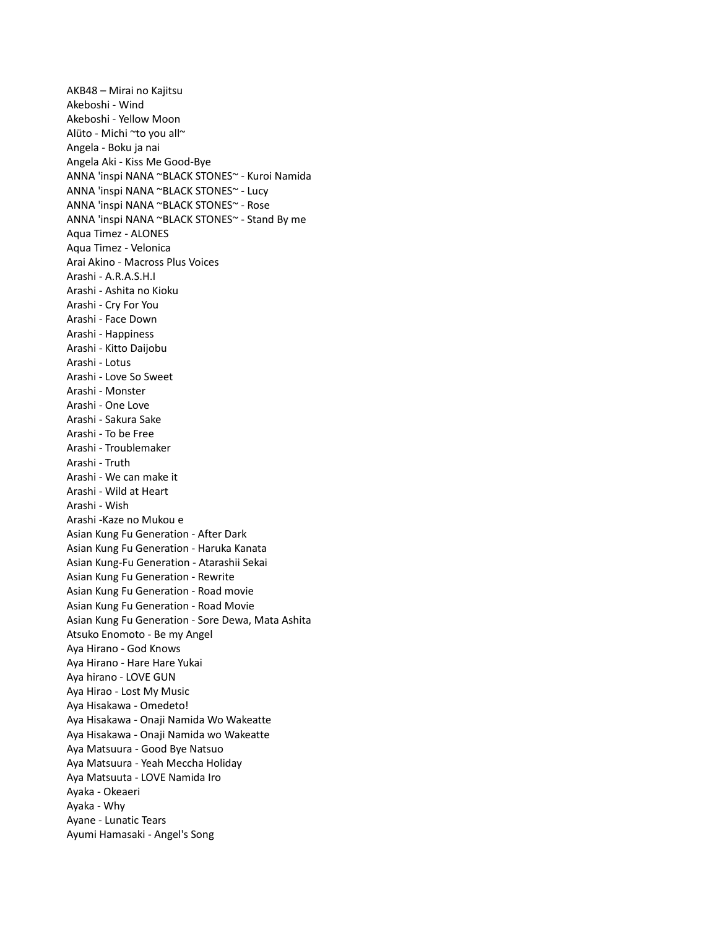AKB48 – Mirai no Kajitsu Akeboshi - Wind Akeboshi - Yellow Moon Alüto - Michi ~to you all~ Angela - Boku ja nai Angela Aki - Kiss Me Good-Bye ANNA 'inspi NANA ~BLACK STONES~ - Kuroi Namida ANNA 'inspi NANA ~BLACK STONES~ - Lucy ANNA 'inspi NANA ~BLACK STONES~ - Rose ANNA 'inspi NANA ~BLACK STONES~ - Stand By me Aqua Timez - ALONES Aqua Timez - Velonica Arai Akino - Macross Plus Voices Arashi - A.R.A.S.H.I Arashi - Ashita no Kioku Arashi - Cry For You Arashi - Face Down Arashi - Happiness Arashi - Kitto Daijobu Arashi - Lotus Arashi - Love So Sweet Arashi - Monster Arashi - One Love Arashi - Sakura Sake Arashi - To be Free Arashi - Troublemaker Arashi - Truth Arashi - We can make it Arashi - Wild at Heart Arashi - Wish Arashi -Kaze no Mukou e Asian Kung Fu Generation - After Dark Asian Kung Fu Generation - Haruka Kanata Asian Kung-Fu Generation - Atarashii Sekai Asian Kung Fu Generation - Rewrite Asian Kung Fu Generation - Road movie Asian Kung Fu Generation - Road Movie Asian Kung Fu Generation - Sore Dewa, Mata Ashita Atsuko Enomoto - Be my Angel Aya Hirano - God Knows Aya Hirano - Hare Hare Yukai Aya hirano - LOVE GUN Aya Hirao - Lost My Music Aya Hisakawa - Omedeto! Aya Hisakawa - Onaji Namida Wo Wakeatte Aya Hisakawa - Onaji Namida wo Wakeatte Aya Matsuura - Good Bye Natsuo Aya Matsuura - Yeah Meccha Holiday Aya Matsuuta - LOVE Namida Iro Ayaka - Okeaeri Ayaka - Why Ayane - Lunatic Tears Ayumi Hamasaki - Angel's Song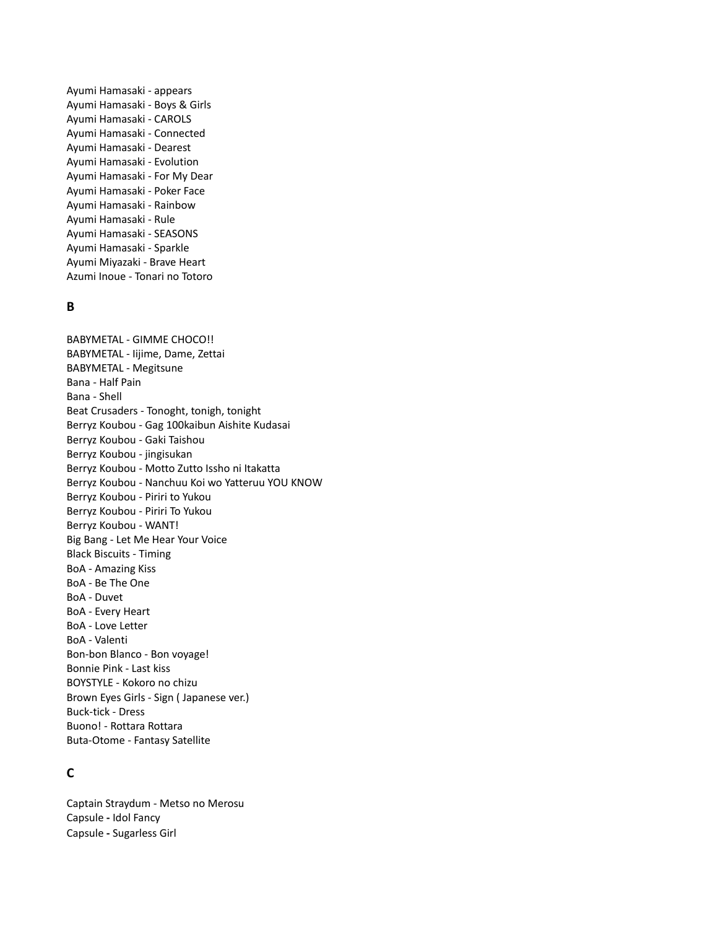Ayumi Hamasaki - appears Ayumi Hamasaki - Boys & Girls Ayumi Hamasaki - CAROLS Ayumi Hamasaki - Connected Ayumi Hamasaki - Dearest Ayumi Hamasaki - Evolution Ayumi Hamasaki - For My Dear Ayumi Hamasaki - Poker Face Ayumi Hamasaki - Rainbow Ayumi Hamasaki - Rule Ayumi Hamasaki - SEASONS Ayumi Hamasaki - Sparkle Ayumi Miyazaki - Brave Heart Azumi Inoue - Tonari no Totoro

## **B**

BABYMETAL - GIMME CHOCO!! BABYMETAL - Iijime, Dame, Zettai BABYMETAL - Megitsune Bana - Half Pain Bana - Shell Beat Crusaders - Tonoght, tonigh, tonight Berryz Koubou - Gag 100kaibun Aishite Kudasai Berryz Koubou - Gaki Taishou Berryz Koubou - jingisukan Berryz Koubou - Motto Zutto Issho ni Itakatta Berryz Koubou - Nanchuu Koi wo Yatteruu YOU KNOW Berryz Koubou - Piriri to Yukou Berryz Koubou - Piriri To Yukou Berryz Koubou - WANT! Big Bang - Let Me Hear Your Voice Black Biscuits - Timing BoA - Amazing Kiss BoA - Be The One BoA - Duvet BoA - Every Heart BoA - Love Letter BoA - Valenti Bon-bon Blanco - Bon voyage! Bonnie Pink - Last kiss BOYSTYLE - Kokoro no chizu Brown Eyes Girls - Sign ( Japanese ver.) Buck-tick - Dress Buono! - Rottara Rottara Buta-Otome - Fantasy Satellite

# **C**

Captain Straydum - Metso no Merosu Capsule **-** Idol Fancy Capsule **-** Sugarless Girl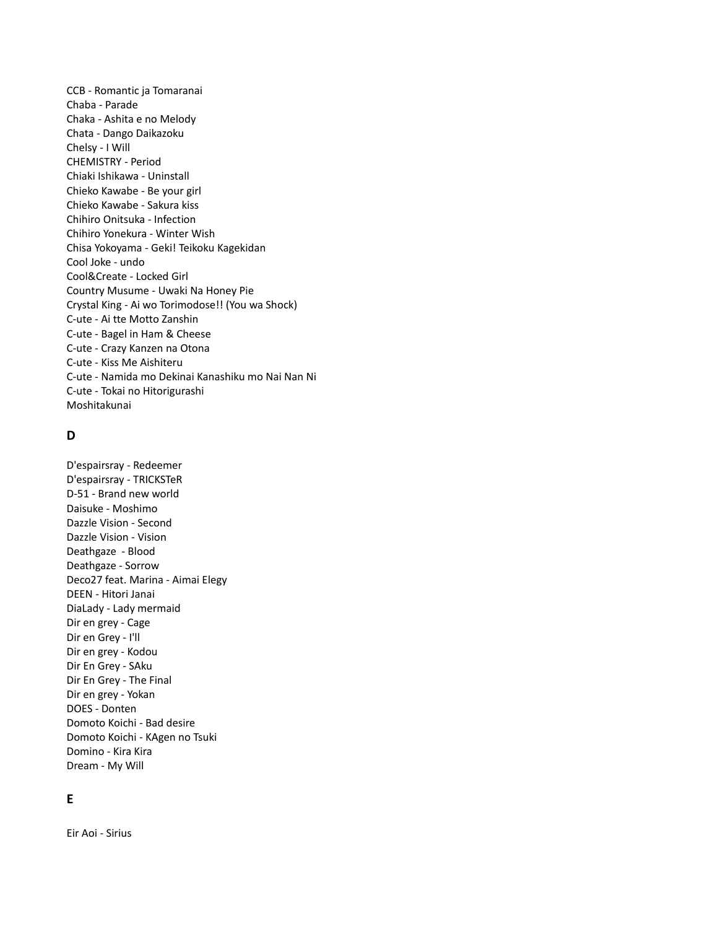CCB - Romantic ja Tomaranai Chaba - Parade Chaka - Ashita e no Melody Chata - Dango Daikazoku Chelsy - I Will CHEMISTRY - Period Chiaki Ishikawa - Uninstall Chieko Kawabe - Be your girl Chieko Kawabe - Sakura kiss Chihiro Onitsuka - Infection Chihiro Yonekura - Winter Wish Chisa Yokoyama - Geki! Teikoku Kagekidan Cool Joke - undo Cool&Create - Locked Girl Country Musume - Uwaki Na Honey Pie Crystal King - Ai wo Torimodose!! (You wa Shock) C-ute - Ai tte Motto Zanshin C-ute - Bagel in Ham & Cheese C-ute - Crazy Kanzen na Otona C-ute - Kiss Me Aishiteru C-ute - Namida mo Dekinai Kanashiku mo Nai Nan Ni C-ute - Tokai no Hitorigurashi Moshitakunai

# **D**

D'espairsray - Redeemer D'espairsray - TRICKSTeR D-51 - Brand new world Daisuke - Moshimo Dazzle Vision - Second Dazzle Vision - Vision Deathgaze - Blood Deathgaze - Sorrow Deco27 feat. Marina - Aimai Elegy DEEN - Hitori Janai DiaLady - Lady mermaid Dir en grey - Cage Dir en Grey - I'll Dir en grey - Kodou Dir En Grey - SAku Dir En Grey - The Final Dir en grey - Yokan DOES - Donten Domoto Koichi - Bad desire Domoto Koichi - KAgen no Tsuki Domino - Kira Kira Dream - My Will

## **E**

Eir Aoi - Sirius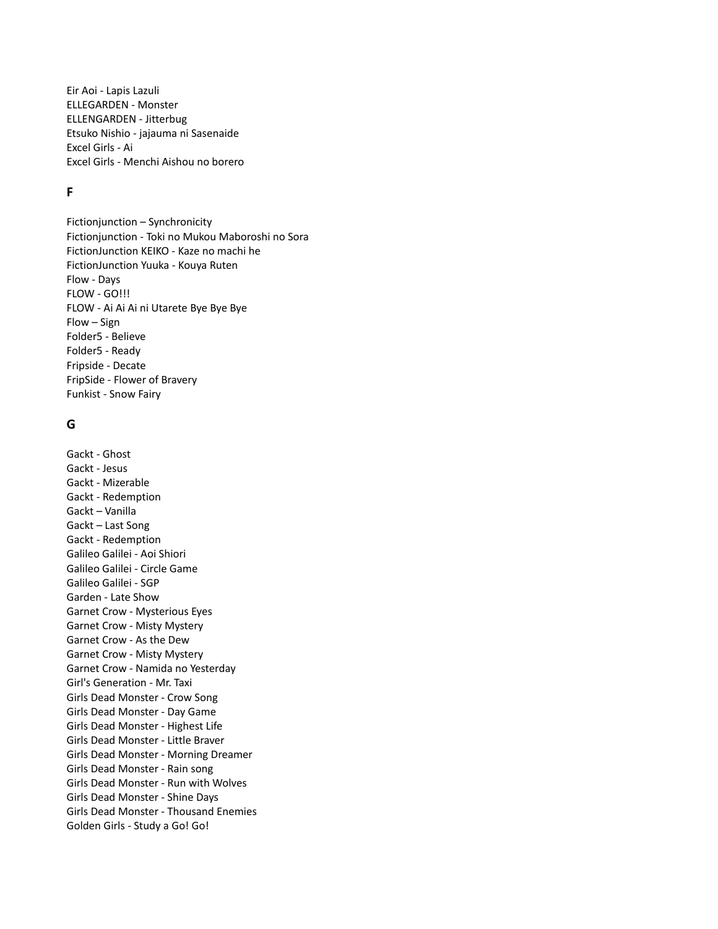Eir Aoi - Lapis Lazuli ELLEGARDEN - Monster ELLENGARDEN - Jitterbug Etsuko Nishio - jajauma ni Sasenaide Excel Girls - Ai Excel Girls - Menchi Aishou no borero

# **F**

Fictionjunction – Synchronicity Fictionjunction - Toki no Mukou Maboroshi no Sora FictionJunction KEIKO - Kaze no machi he FictionJunction Yuuka - Kouya Ruten Flow - Days FLOW - GO!!! FLOW - Ai Ai Ai ni Utarete Bye Bye Bye Flow – Sign Folder5 - Believe Folder5 - Ready Fripside - Decate FripSide - Flower of Bravery Funkist - Snow Fairy

## **G**

Gackt - Ghost Gackt - Jesus Gackt - Mizerable Gackt - Redemption Gackt – Vanilla Gackt – Last Song Gackt - Redemption Galileo Galilei - Aoi Shiori Galileo Galilei - Circle Game Galileo Galilei - SGP Garden - Late Show Garnet Crow - Mysterious Eyes Garnet Crow - Misty Mystery Garnet Crow - As the Dew Garnet Crow - Misty Mystery Garnet Crow - Namida no Yesterday Girl's Generation - Mr. Taxi Girls Dead Monster - Crow Song Girls Dead Monster - Day Game Girls Dead Monster - Highest Life Girls Dead Monster - Little Braver Girls Dead Monster - Morning Dreamer Girls Dead Monster - Rain song Girls Dead Monster - Run with Wolves Girls Dead Monster - Shine Days Girls Dead Monster - Thousand Enemies Golden Girls - Study a Go! Go!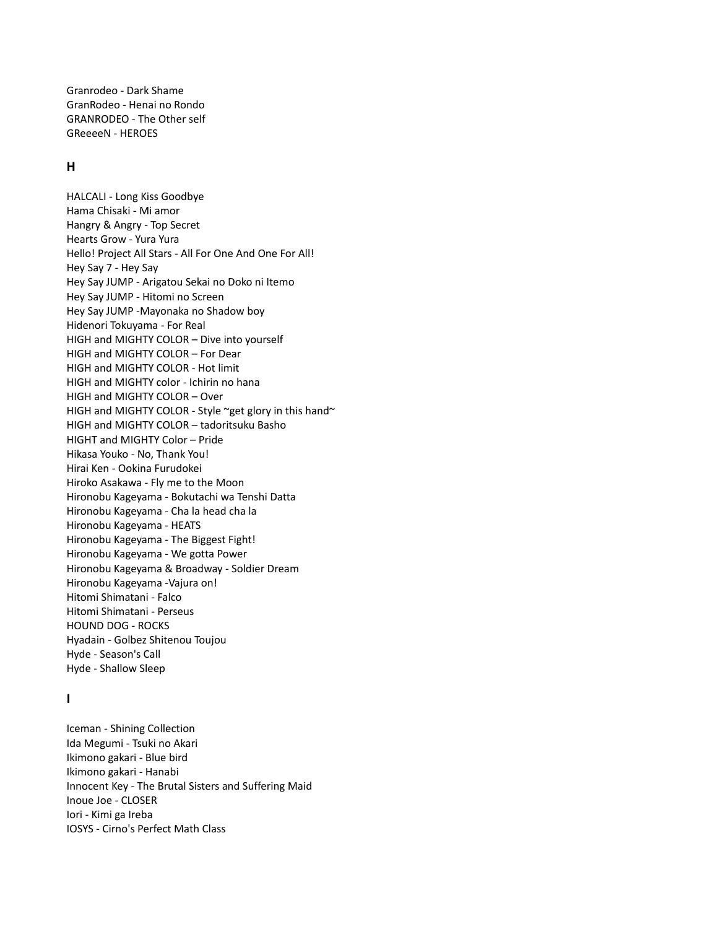Granrodeo - Dark Shame GranRodeo - Henai no Rondo GRANRODEO - The Other self GReeeeN - HEROES

## **H**

HALCALI - Long Kiss Goodbye Hama Chisaki - Mi amor Hangry & Angry - Top Secret Hearts Grow - Yura Yura Hello! Project All Stars - All For One And One For All! Hey Say 7 - Hey Say Hey Say JUMP - Arigatou Sekai no Doko ni Itemo Hey Say JUMP - Hitomi no Screen Hey Say JUMP -Mayonaka no Shadow boy Hidenori Tokuyama - For Real HIGH and MIGHTY COLOR – Dive into yourself HIGH and MIGHTY COLOR – For Dear HIGH and MIGHTY COLOR - Hot limit HIGH and MIGHTY color - Ichirin no hana HIGH and MIGHTY COLOR – Over HIGH and MIGHTY COLOR - Style ~get glory in this hand~ HIGH and MIGHTY COLOR – tadoritsuku Basho HIGHT and MIGHTY Color – Pride Hikasa Youko - No, Thank You! Hirai Ken - Ookina Furudokei Hiroko Asakawa - Fly me to the Moon Hironobu Kageyama - Bokutachi wa Tenshi Datta Hironobu Kageyama - Cha la head cha la Hironobu Kageyama - HEATS Hironobu Kageyama - The Biggest Fight! Hironobu Kageyama - We gotta Power Hironobu Kageyama & Broadway - Soldier Dream Hironobu Kageyama -Vajura on! Hitomi Shimatani - Falco Hitomi Shimatani - Perseus HOUND DOG - ROCKS Hyadain - Golbez Shitenou Toujou Hyde - Season's Call Hyde - Shallow Sleep

## **I**

Iceman - Shining Collection Ida Megumi - Tsuki no Akari Ikimono gakari - Blue bird Ikimono gakari - Hanabi Innocent Key - The Brutal Sisters and Suffering Maid Inoue Joe - CLOSER Iori - Kimi ga Ireba IOSYS - Cirno's Perfect Math Class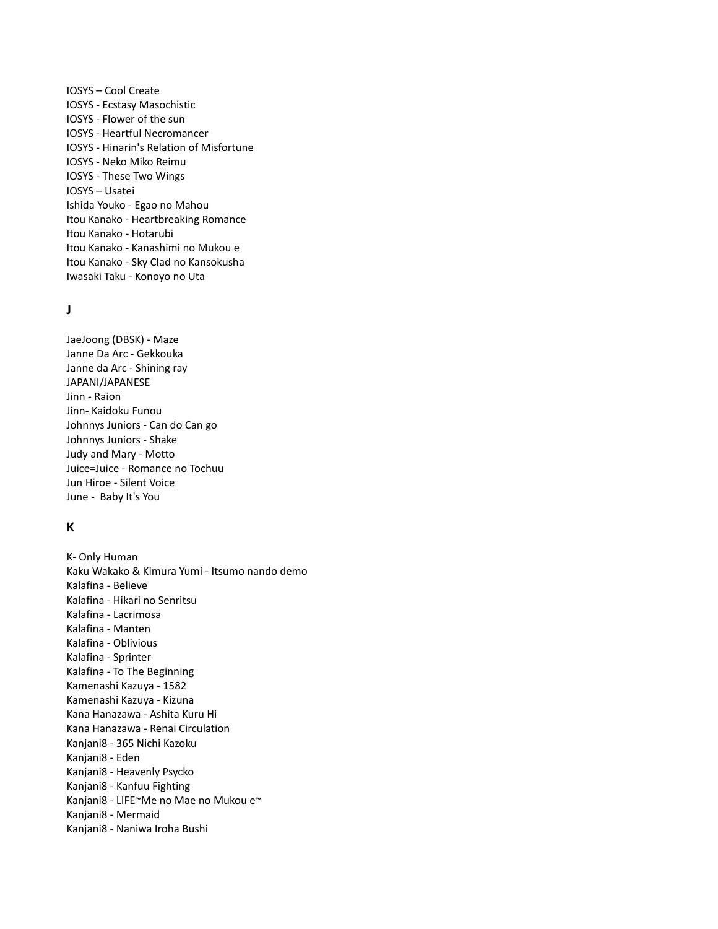IOSYS – Cool Create IOSYS - Ecstasy Masochistic IOSYS - Flower of the sun IOSYS - Heartful Necromancer IOSYS - Hinarin's Relation of Misfortune IOSYS - Neko Miko Reimu IOSYS - These Two Wings IOSYS – Usatei Ishida Youko - Egao no Mahou Itou Kanako - Heartbreaking Romance Itou Kanako - Hotarubi Itou Kanako - Kanashimi no Mukou e Itou Kanako - Sky Clad no Kansokusha Iwasaki Taku - Konoyo no Uta

# **J**

JaeJoong (DBSK) - Maze Janne Da Arc - Gekkouka Janne da Arc - Shining ray JAPANI/JAPANESE Jinn - Raion Jinn- Kaidoku Funou Johnnys Juniors - Can do Can go Johnnys Juniors - Shake Judy and Mary - Motto Juice=Juice - Romance no Tochuu Jun Hiroe - Silent Voice June - Baby It's You

## **K**

K- Only Human Kaku Wakako & Kimura Yumi - Itsumo nando demo Kalafina - Believe Kalafina - Hikari no Senritsu Kalafina - Lacrimosa Kalafina - Manten Kalafina - Oblivious Kalafina - Sprinter Kalafina - To The Beginning Kamenashi Kazuya - 1582 Kamenashi Kazuya - Kizuna Kana Hanazawa - Ashita Kuru Hi Kana Hanazawa - Renai Circulation Kanjani8 - 365 Nichi Kazoku Kanjani8 - Eden Kanjani8 - Heavenly Psycko Kanjani8 - Kanfuu Fighting Kanjani8 - LIFE~Me no Mae no Mukou e~ Kanjani8 - Mermaid Kanjani8 - Naniwa Iroha Bushi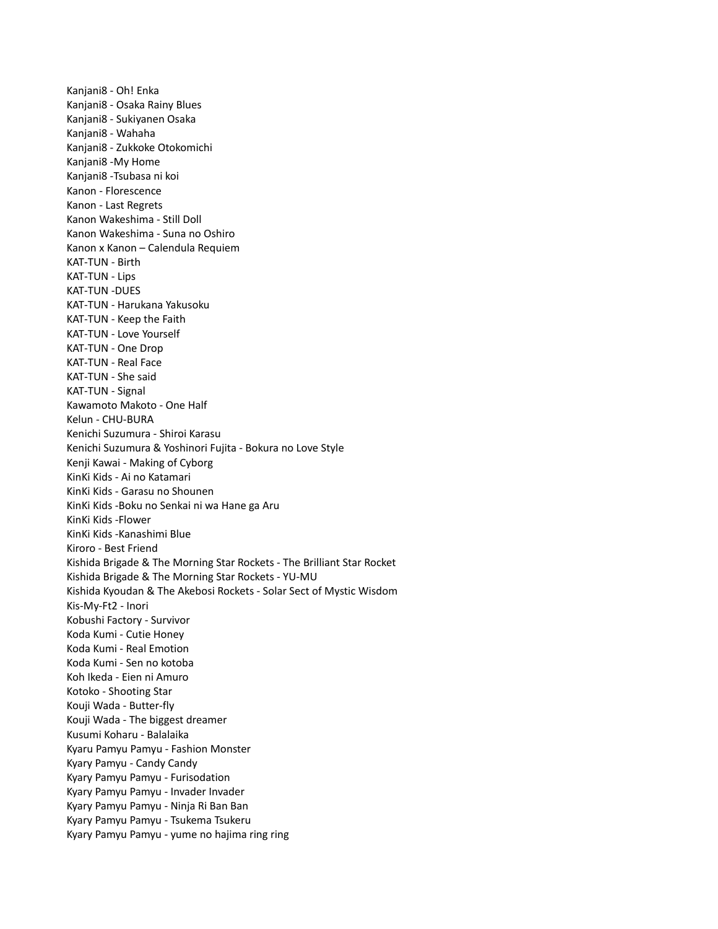Kanjani8 - Oh! Enka Kanjani8 - Osaka Rainy Blues Kanjani8 - Sukiyanen Osaka Kanjani8 - Wahaha Kanjani8 - Zukkoke Otokomichi Kanjani8 -My Home Kanjani8 -Tsubasa ni koi Kanon - Florescence Kanon - Last Regrets Kanon Wakeshima - Still Doll Kanon Wakeshima - Suna no Oshiro Kanon x Kanon – Calendula Requiem KAT-TUN - Birth KAT-TUN - Lips KAT-TUN -DUES KAT-TUN - Harukana Yakusoku KAT-TUN - Keep the Faith KAT-TUN - Love Yourself KAT-TUN - One Drop KAT-TUN - Real Face KAT-TUN - She said KAT-TUN - Signal Kawamoto Makoto - One Half Kelun - CHU-BURA Kenichi Suzumura - Shiroi Karasu Kenichi Suzumura & Yoshinori Fujita - Bokura no Love Style Kenji Kawai - Making of Cyborg KinKi Kids - Ai no Katamari KinKi Kids - Garasu no Shounen KinKi Kids -Boku no Senkai ni wa Hane ga Aru KinKi Kids -Flower KinKi Kids -Kanashimi Blue Kiroro - Best Friend Kishida Brigade & The Morning Star Rockets - The Brilliant Star Rocket Kishida Brigade & The Morning Star Rockets - YU-MU Kishida Kyoudan & The Akebosi Rockets - Solar Sect of Mystic Wisdom Kis-My-Ft2 - Inori Kobushi Factory - Survivor Koda Kumi - Cutie Honey Koda Kumi - Real Emotion Koda Kumi - Sen no kotoba Koh Ikeda - Eien ni Amuro Kotoko - Shooting Star Kouji Wada - Butter-fly Kouji Wada - The biggest dreamer Kusumi Koharu - Balalaika Kyaru Pamyu Pamyu - Fashion Monster Kyary Pamyu - Candy Candy Kyary Pamyu Pamyu - Furisodation Kyary Pamyu Pamyu - Invader Invader Kyary Pamyu Pamyu - Ninja Ri Ban Ban Kyary Pamyu Pamyu - Tsukema Tsukeru Kyary Pamyu Pamyu - yume no hajima ring ring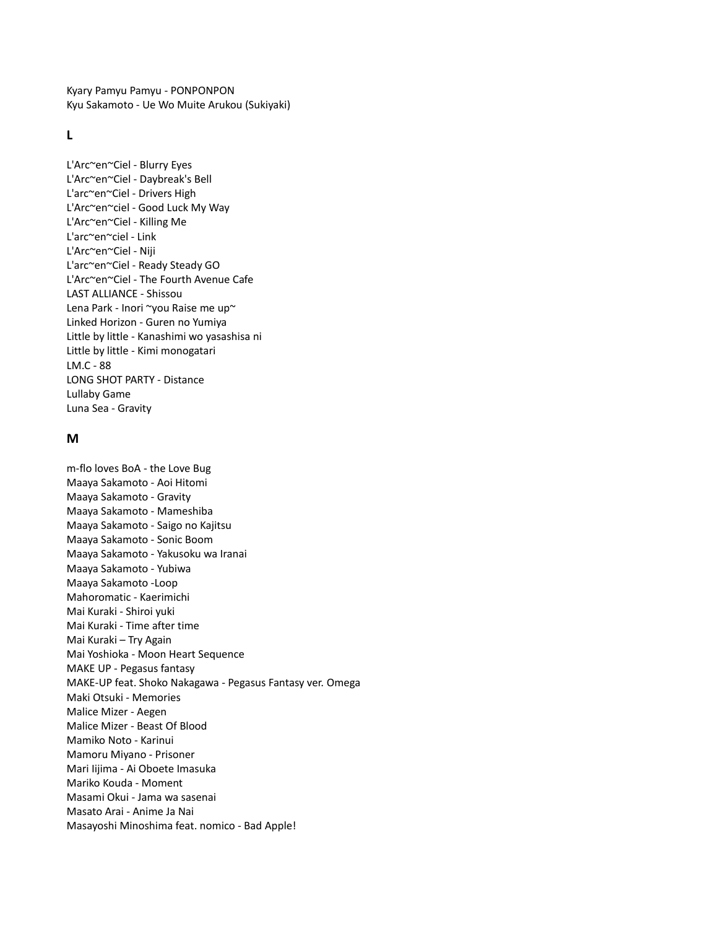Kyary Pamyu Pamyu - PONPONPON Kyu Sakamoto - Ue Wo Muite Arukou (Sukiyaki)

# **L**

L'Arc~en~Ciel - Blurry Eyes L'Arc~en~Ciel - Daybreak's Bell L'arc~en~Ciel - Drivers High L'Arc~en~ciel - Good Luck My Way L'Arc~en~Ciel - Killing Me L'arc~en~ciel - Link L'Arc~en~Ciel - Niji L'arc~en~Ciel - Ready Steady GO L'Arc~en~Ciel - The Fourth Avenue Cafe LAST ALLIANCE - Shissou Lena Park - Inori ~you Raise me up~ Linked Horizon - Guren no Yumiya Little by little - Kanashimi wo yasashisa ni Little by little - Kimi monogatari LM.C - 88 LONG SHOT PARTY - Distance Lullaby Game Luna Sea - Gravity

### **M**

m-flo loves BoA - the Love Bug Maaya Sakamoto - Aoi Hitomi Maaya Sakamoto - Gravity Maaya Sakamoto - Mameshiba Maaya Sakamoto - Saigo no Kajitsu Maaya Sakamoto - Sonic Boom Maaya Sakamoto - Yakusoku wa Iranai Maaya Sakamoto - Yubiwa Maaya Sakamoto -Loop Mahoromatic - Kaerimichi Mai Kuraki - Shiroi yuki Mai Kuraki - Time after time Mai Kuraki – Try Again Mai Yoshioka - Moon Heart Sequence MAKE UP - Pegasus fantasy MAKE-UP feat. Shoko Nakagawa - Pegasus Fantasy ver. Omega Maki Otsuki - Memories Malice Mizer - Aegen Malice Mizer - Beast Of Blood Mamiko Noto - Karinui Mamoru Miyano - Prisoner Mari Iijima - Ai Oboete Imasuka Mariko Kouda - Moment Masami Okui - Jama wa sasenai Masato Arai - Anime Ja Nai Masayoshi Minoshima feat. nomico - Bad Apple!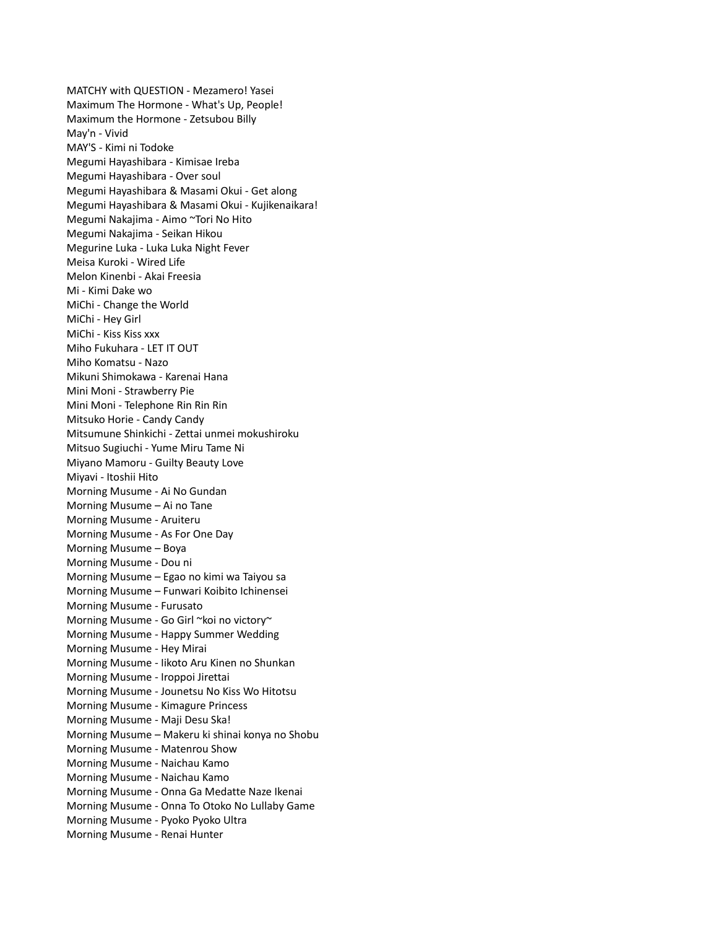MATCHY with QUESTION - Mezamero! Yasei Maximum The Hormone - What's Up, People! Maximum the Hormone - Zetsubou Billy May'n - Vivid MAY'S - Kimi ni Todoke Megumi Hayashibara - Kimisae Ireba Megumi Hayashibara - Over soul Megumi Hayashibara & Masami Okui - Get along Megumi Hayashibara & Masami Okui - Kujikenaikara! Megumi Nakajima - Aimo ~Tori No Hito Megumi Nakajima - Seikan Hikou Megurine Luka - Luka Luka Night Fever Meisa Kuroki - Wired Life Melon Kinenbi - Akai Freesia Mi - Kimi Dake wo MiChi - Change the World MiChi - Hey Girl MiChi - Kiss Kiss xxx Miho Fukuhara - LET IT OUT Miho Komatsu - Nazo Mikuni Shimokawa - Karenai Hana Mini Moni - Strawberry Pie Mini Moni - Telephone Rin Rin Rin Mitsuko Horie - Candy Candy Mitsumune Shinkichi - Zettai unmei mokushiroku Mitsuo Sugiuchi - Yume Miru Tame Ni Miyano Mamoru - Guilty Beauty Love Miyavi - Itoshii Hito Morning Musume - Ai No Gundan Morning Musume – Ai no Tane Morning Musume - Aruiteru Morning Musume - As For One Day Morning Musume – Boya Morning Musume - Dou ni Morning Musume – Egao no kimi wa Taiyou sa Morning Musume – Funwari Koibito Ichinensei Morning Musume - Furusato Morning Musume - Go Girl ~koi no victory~ Morning Musume - Happy Summer Wedding Morning Musume - Hey Mirai Morning Musume - Iikoto Aru Kinen no Shunkan Morning Musume - Iroppoi Jirettai Morning Musume - Jounetsu No Kiss Wo Hitotsu Morning Musume - Kimagure Princess Morning Musume - Maji Desu Ska! Morning Musume – Makeru ki shinai konya no Shobu Morning Musume - Matenrou Show Morning Musume - Naichau Kamo Morning Musume - Naichau Kamo Morning Musume - Onna Ga Medatte Naze Ikenai Morning Musume - Onna To Otoko No Lullaby Game Morning Musume - Pyoko Pyoko Ultra Morning Musume - Renai Hunter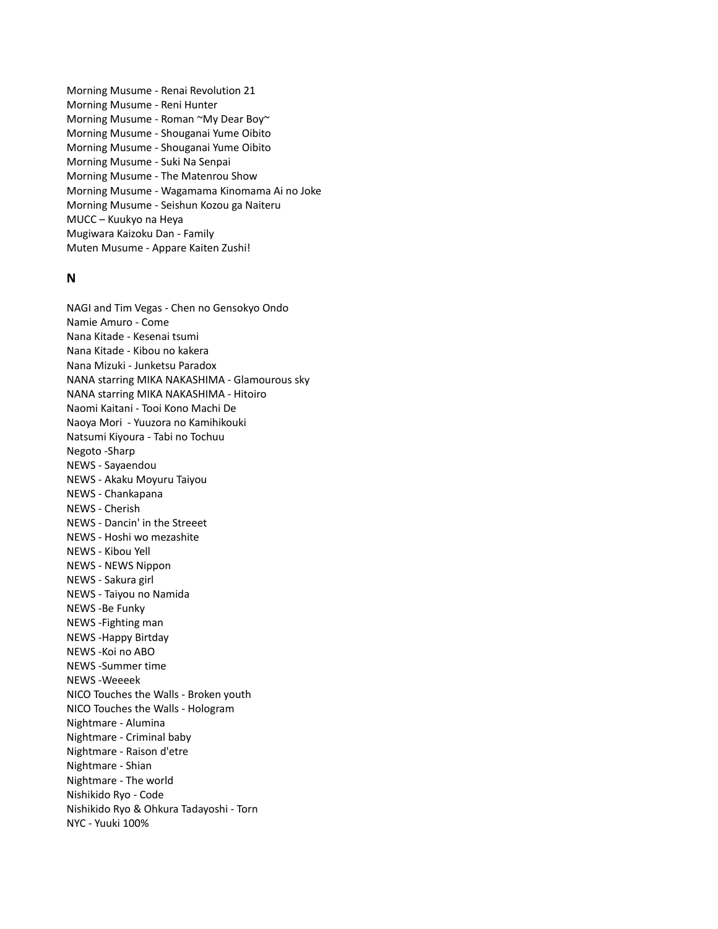Morning Musume - Renai Revolution 21 Morning Musume - Reni Hunter Morning Musume - Roman ~My Dear Boy~ Morning Musume - Shouganai Yume Oibito Morning Musume - Shouganai Yume Oibito Morning Musume - Suki Na Senpai Morning Musume - The Matenrou Show Morning Musume - Wagamama Kinomama Ai no Joke Morning Musume - Seishun Kozou ga Naiteru MUCC – Kuukyo na Heya Mugiwara Kaizoku Dan - Family Muten Musume - Appare Kaiten Zushi!

## **N**

NAGI and Tim Vegas - Chen no Gensokyo Ondo Namie Amuro - Come Nana Kitade - Kesenai tsumi Nana Kitade - Kibou no kakera Nana Mizuki - Junketsu Paradox NANA starring MIKA NAKASHIMA - Glamourous sky NANA starring MIKA NAKASHIMA - Hitoiro Naomi Kaitani - Tooi Kono Machi De Naoya Mori - Yuuzora no Kamihikouki Natsumi Kiyoura - Tabi no Tochuu Negoto -Sharp NEWS - Sayaendou NEWS - Akaku Moyuru Taiyou NEWS - Chankapana NEWS - Cherish NEWS - Dancin' in the Streeet NEWS - Hoshi wo mezashite NEWS - Kibou Yell NEWS - NEWS Nippon NEWS - Sakura girl NEWS - Taiyou no Namida NEWS -Be Funky NEWS -Fighting man NEWS -Happy Birtday NEWS -Koi no ABO NEWS -Summer time NEWS -Weeeek NICO Touches the Walls - Broken youth NICO Touches the Walls - Hologram Nightmare - Alumina Nightmare - Criminal baby Nightmare - Raison d'etre Nightmare - Shian Nightmare - The world Nishikido Ryo - Code Nishikido Ryo & Ohkura Tadayoshi - Torn NYC - Yuuki 100%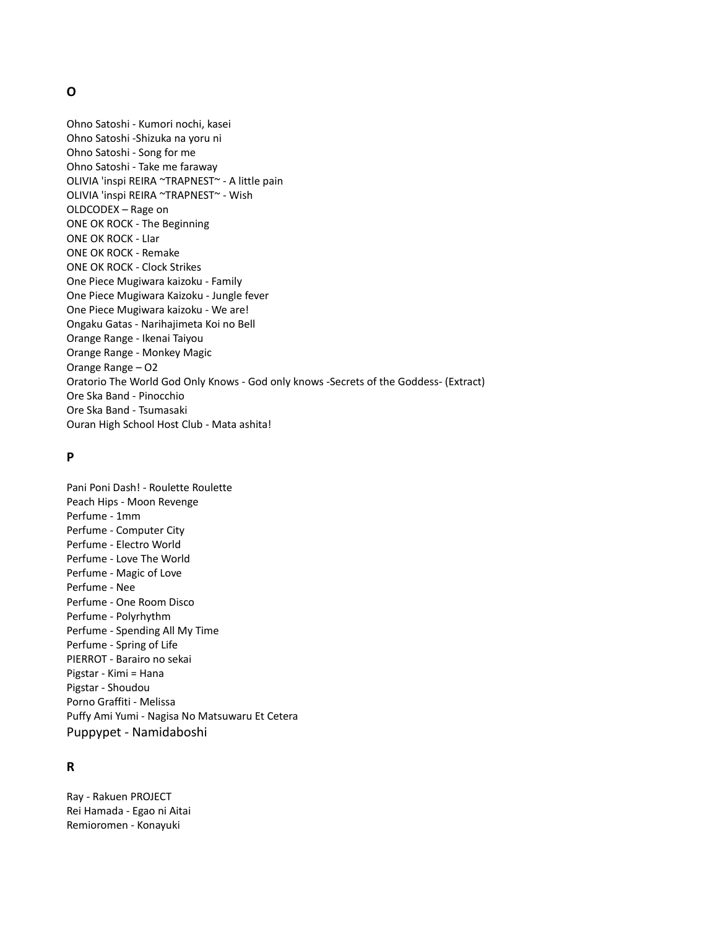## **O**

Ohno Satoshi - Kumori nochi, kasei Ohno Satoshi -Shizuka na yoru ni Ohno Satoshi - Song for me Ohno Satoshi - Take me faraway OLIVIA 'inspi REIRA ~TRAPNEST~ - A little pain OLIVIA 'inspi REIRA ~TRAPNEST~ - Wish OLDCODEX – Rage on ONE OK ROCK - The Beginning ONE OK ROCK - LIar ONE OK ROCK - Remake ONE OK ROCK - Clock Strikes One Piece Mugiwara kaizoku - Family One Piece Mugiwara Kaizoku - Jungle fever One Piece Mugiwara kaizoku - We are! Ongaku Gatas - Narihajimeta Koi no Bell Orange Range - Ikenai Taiyou Orange Range - Monkey Magic Orange Range – O2 Oratorio The World God Only Knows - God only knows -Secrets of the Goddess- (Extract) Ore Ska Band - Pinocchio Ore Ska Band - Tsumasaki Ouran High School Host Club - Mata ashita!

## **P**

Pani Poni Dash! - Roulette Roulette Peach Hips - Moon Revenge Perfume - 1mm Perfume - Computer City Perfume - Electro World Perfume - Love The World Perfume - Magic of Love Perfume - Nee Perfume - One Room Disco Perfume - Polyrhythm Perfume - Spending All My Time Perfume - Spring of Life PIERROT - Barairo no sekai Pigstar - Kimi = Hana Pigstar - Shoudou Porno Graffiti - Melissa Puffy Ami Yumi - Nagisa No Matsuwaru Et Cetera Puppypet - Namidaboshi

# **R**

Ray - Rakuen PROJECT Rei Hamada - Egao ni Aitai Remioromen - Konayuki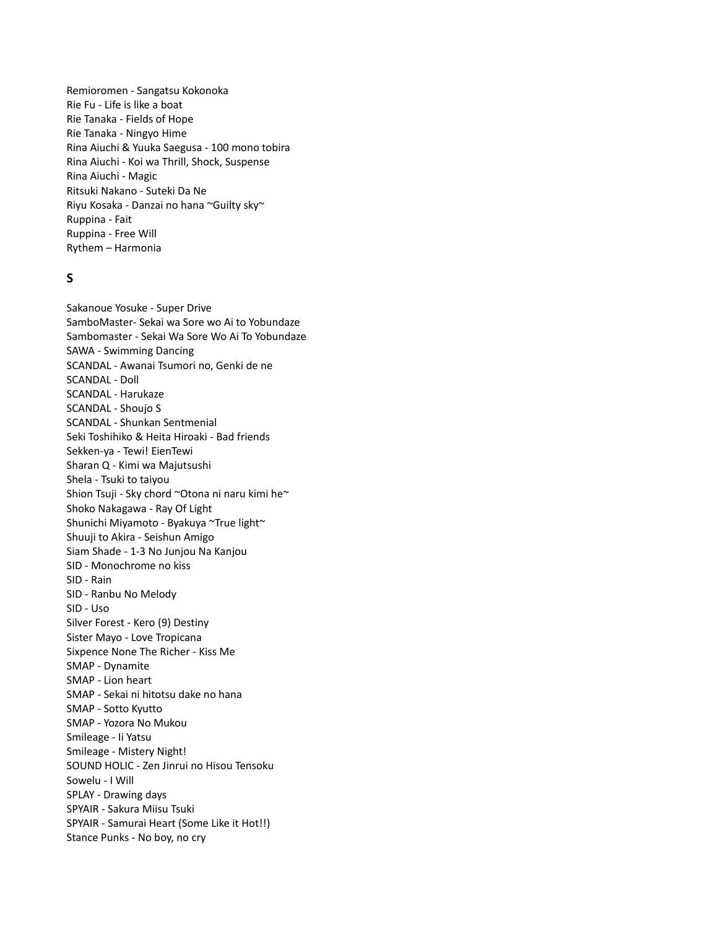Remioromen - Sangatsu Kokonoka Rie Fu - Life is like a boat Rie Tanaka - Fields of Hope Rie Tanaka - Ningyo Hime Rina Aiuchi & Yuuka Saegusa - 100 mono tobira Rina Aiuchi - Koi wa Thrill, Shock, Suspense Rina Aiuchi - Magic Ritsuki Nakano - Suteki Da Ne Riyu Kosaka - Danzai no hana ~Guilty sky~ Ruppina - Fait Ruppina - Free Will Rythem – Harmonia

## **S**

Sakanoue Yosuke - Super Drive SamboMaster- Sekai wa Sore wo Ai to Yobundaze Sambomaster - Sekai Wa Sore Wo Ai To Yobundaze SAWA - Swimming Dancing SCANDAL - Awanai Tsumori no, Genki de ne SCANDAL - Doll SCANDAL - Harukaze SCANDAL - Shoujo S SCANDAL - Shunkan Sentmenial Seki Toshihiko & Heita Hiroaki - Bad friends Sekken-ya - Tewi! EienTewi Sharan Q - Kimi wa Majutsushi Shela - Tsuki to taiyou Shion Tsuji - Sky chord ~Otona ni naru kimi he~ Shoko Nakagawa - Ray Of Light Shunichi Miyamoto - Byakuya ~True light~ Shuuji to Akira - Seishun Amigo Siam Shade - 1-3 No Junjou Na Kanjou SID - Monochrome no kiss SID - Rain SID - Ranbu No Melody SID - Uso Silver Forest - Kero (9) Destiny Sister Mayo - Love Tropicana Sixpence None The Richer - Kiss Me SMAP - Dynamite SMAP - Lion heart SMAP - Sekai ni hitotsu dake no hana SMAP - Sotto Kyutto SMAP - Yozora No Mukou Smileage - Ii Yatsu Smileage - Mistery Night! SOUND HOLIC - Zen Jinrui no Hisou Tensoku Sowelu - I Will SPLAY - Drawing days SPYAIR - Sakura Miisu Tsuki SPYAIR - Samurai Heart (Some Like it Hot!!) Stance Punks - No boy, no cry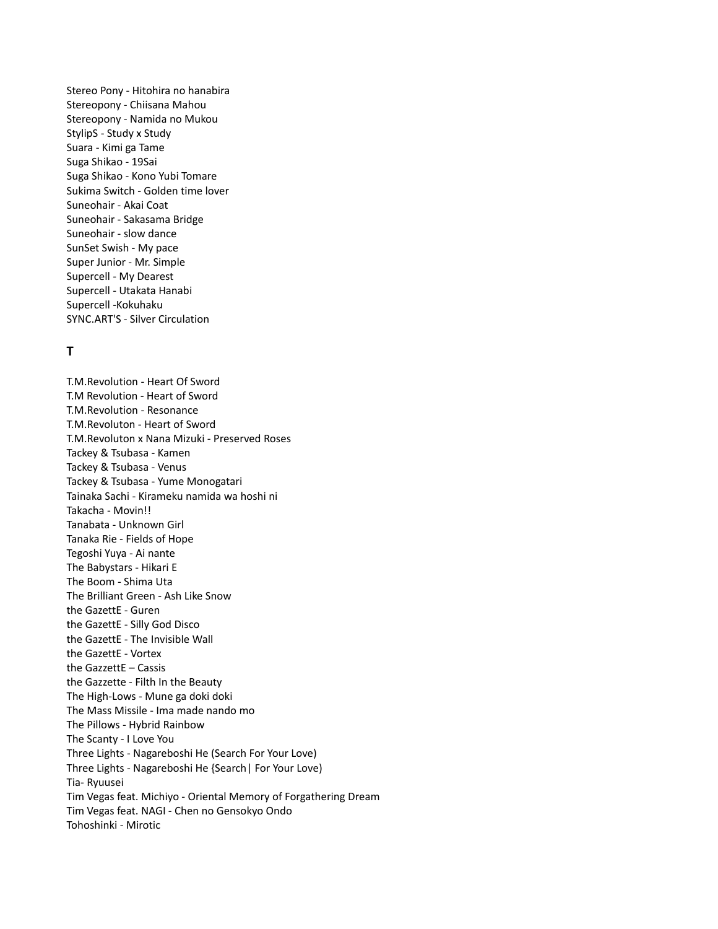Stereo Pony - Hitohira no hanabira Stereopony - Chiisana Mahou Stereopony - Namida no Mukou StylipS - Study x Study Suara - Kimi ga Tame Suga Shikao - 19Sai Suga Shikao - Kono Yubi Tomare Sukima Switch - Golden time lover Suneohair - Akai Coat Suneohair - Sakasama Bridge Suneohair - slow dance SunSet Swish - My pace Super Junior - Mr. Simple Supercell - My Dearest Supercell - Utakata Hanabi Supercell -Kokuhaku SYNC.ART'S - Silver Circulation

# **T**

T.M.Revolution - Heart Of Sword T.M Revolution - Heart of Sword T.M.Revolution - Resonance T.M.Revoluton - Heart of Sword T.M.Revoluton x Nana Mizuki - Preserved Roses Tackey & Tsubasa - Kamen Tackey & Tsubasa - Venus Tackey & Tsubasa - Yume Monogatari Tainaka Sachi - Kirameku namida wa hoshi ni Takacha - Movin!! Tanabata - Unknown Girl Tanaka Rie - Fields of Hope Tegoshi Yuya - Ai nante The Babystars - Hikari E The Boom - Shima Uta The Brilliant Green - Ash Like Snow the GazettE - Guren the GazettE - Silly God Disco the GazettE - The Invisible Wall the GazettE - Vortex the GazzettE – Cassis the Gazzette - Filth In the Beauty The High-Lows - Mune ga doki doki The Mass Missile - Ima made nando mo The Pillows - Hybrid Rainbow The Scanty - I Love You Three Lights - Nagareboshi He (Search For Your Love) Three Lights - Nagareboshi He {Search| For Your Love) Tia- Ryuusei Tim Vegas feat. Michiyo - Oriental Memory of Forgathering Dream Tim Vegas feat. NAGI - Chen no Gensokyo Ondo Tohoshinki - Mirotic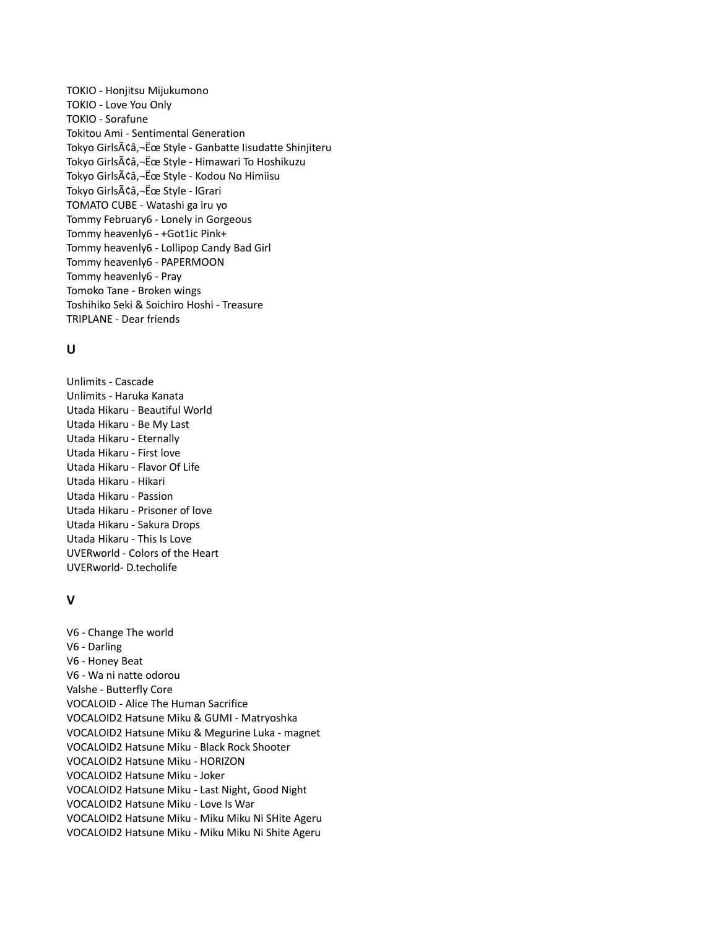TOKIO - Honjitsu Mijukumono TOKIO - Love You Only TOKIO - Sorafune Tokitou Ami - Sentimental Generation Tokyo Girlsââ,-Ëœ Style - Ganbatte Iisudatte Shinjiteru Tokyo Girlsââ,-Ëœ Style - Himawari To Hoshikuzu Tokyo Girlsââ,¬Ëœ Style - Kodou No Himiisu Tokyo Girlsââ,-Ëœ Style - IGrari TOMATO CUBE - Watashi ga iru yo Tommy February6 - Lonely in Gorgeous Tommy heavenly6 - +Got1ic Pink+ Tommy heavenly6 - Lollipop Candy Bad Girl Tommy heavenly6 - PAPERMOON Tommy heavenly6 - Pray Tomoko Tane - Broken wings Toshihiko Seki & Soichiro Hoshi - Treasure TRIPLANE - Dear friends

# **U**

Unlimits - Cascade Unlimits - Haruka Kanata Utada Hikaru - Beautiful World Utada Hikaru - Be My Last Utada Hikaru - Eternally Utada Hikaru - First love Utada Hikaru - Flavor Of Life Utada Hikaru - Hikari Utada Hikaru - Passion Utada Hikaru - Prisoner of love Utada Hikaru - Sakura Drops Utada Hikaru - This Is Love UVERworld - Colors of the Heart UVERworld- D.techolife

# **V**

V6 - Change The world V6 - Darling V6 - Honey Beat V6 - Wa ni natte odorou Valshe - Butterfly Core VOCALOID - Alice The Human Sacrifice VOCALOID2 Hatsune Miku & GUMI - Matryoshka VOCALOID2 Hatsune Miku & Megurine Luka - magnet VOCALOID2 Hatsune Miku - Black Rock Shooter VOCALOID2 Hatsune Miku - HORIZON VOCALOID2 Hatsune Miku - Joker VOCALOID2 Hatsune Miku - Last Night, Good Night VOCALOID2 Hatsune Miku - Love Is War VOCALOID2 Hatsune Miku - Miku Miku Ni SHite Ageru VOCALOID2 Hatsune Miku - Miku Miku Ni Shite Ageru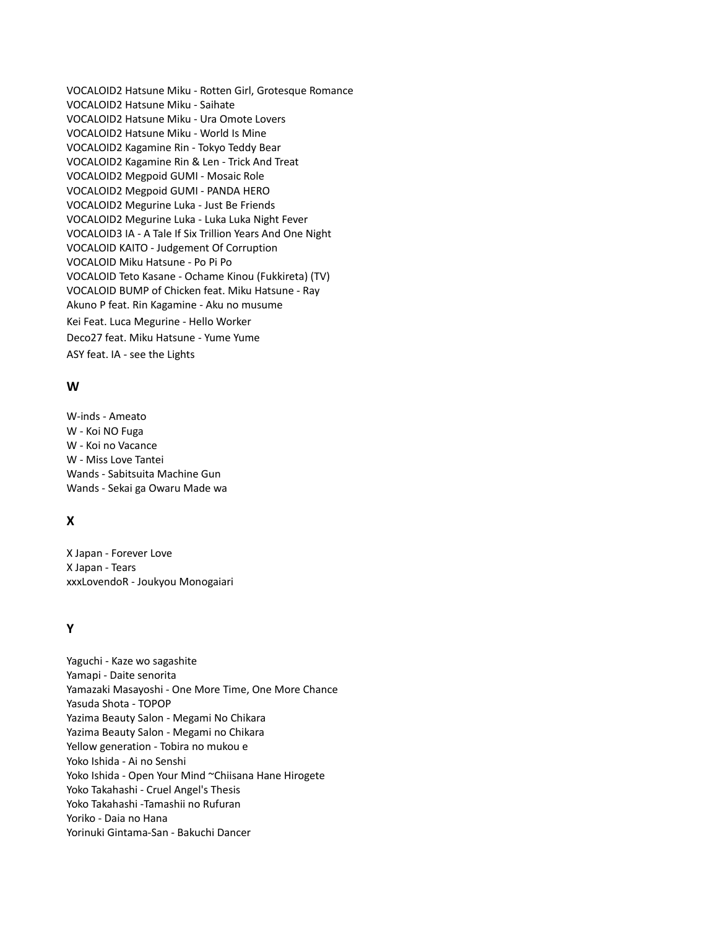VOCALOID2 Hatsune Miku - Rotten Girl, Grotesque Romance VOCALOID2 Hatsune Miku - Saihate VOCALOID2 Hatsune Miku - Ura Omote Lovers VOCALOID2 Hatsune Miku - World Is Mine VOCALOID2 Kagamine Rin - Tokyo Teddy Bear VOCALOID2 Kagamine Rin & Len - Trick And Treat VOCALOID2 Megpoid GUMI - Mosaic Role VOCALOID2 Megpoid GUMI - PANDA HERO VOCALOID2 Megurine Luka - Just Be Friends VOCALOID2 Megurine Luka - Luka Luka Night Fever VOCALOID3 IA - A Tale If Six Trillion Years And One Night VOCALOID KAITO - Judgement Of Corruption VOCALOID Miku Hatsune - Po Pi Po VOCALOID Teto Kasane - Ochame Kinou (Fukkireta) (TV) VOCALOID BUMP of Chicken feat. Miku Hatsune - Ray Akuno P feat. Rin Kagamine - Aku no musume Kei Feat. Luca Megurine - Hello Worker Deco27 feat. Miku Hatsune - Yume Yume ASY feat. IA - see the Lights

# **W**

W-inds - Ameato W - Koi NO Fuga W - Koi no Vacance W - Miss Love Tantei Wands - Sabitsuita Machine Gun Wands - Sekai ga Owaru Made wa

# **X**

X Japan - Forever Love X Japan - Tears xxxLovendoR - Joukyou Monogaiari

# **Y**

Yaguchi - Kaze wo sagashite Yamapi - Daite senorita Yamazaki Masayoshi - One More Time, One More Chance Yasuda Shota - TOPOP Yazima Beauty Salon - Megami No Chikara Yazima Beauty Salon - Megami no Chikara Yellow generation - Tobira no mukou e Yoko Ishida - Ai no Senshi Yoko Ishida - Open Your Mind ~Chiisana Hane Hirogete Yoko Takahashi - Cruel Angel's Thesis Yoko Takahashi -Tamashii no Rufuran Yoriko - Daia no Hana Yorinuki Gintama-San - Bakuchi Dancer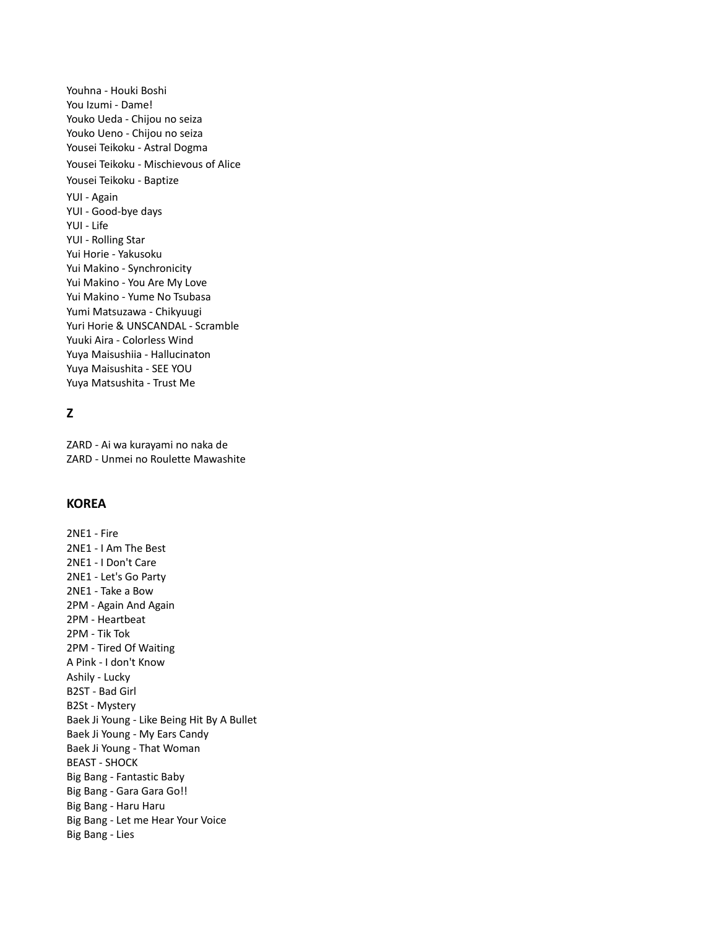Youhna - Houki Boshi You Izumi - Dame! Youko Ueda - Chijou no seiza Youko Ueno - Chijou no seiza Yousei Teikoku - Astral Dogma Yousei Teikoku - Mischievous of Alice Yousei Teikoku - Baptize YUI - Again YUI - Good-bye days YUI - Life YUI - Rolling Star Yui Horie - Yakusoku Yui Makino - Synchronicity Yui Makino - You Are My Love Yui Makino - Yume No Tsubasa Yumi Matsuzawa - Chikyuugi Yuri Horie & UNSCANDAL - Scramble Yuuki Aira - Colorless Wind Yuya Maisushiia - Hallucinaton Yuya Maisushita - SEE YOU Yuya Matsushita - Trust Me

# **Z**

ZARD - Ai wa kurayami no naka de ZARD - Unmei no Roulette Mawashite

# **KOREA**

2NE1 - Fire 2NE1 - I Am The Best 2NE1 - I Don't Care 2NE1 - Let's Go Party 2NE1 - Take a Bow 2PM - Again And Again 2PM - Heartbeat 2PM - Tik Tok 2PM - Tired Of Waiting A Pink - I don't Know Ashily - Lucky B2ST - Bad Girl B2St - Mystery Baek Ji Young - Like Being Hit By A Bullet Baek Ji Young - My Ears Candy Baek Ji Young - That Woman BEAST - SHOCK Big Bang - Fantastic Baby Big Bang - Gara Gara Go!! Big Bang - Haru Haru Big Bang - Let me Hear Your Voice Big Bang - Lies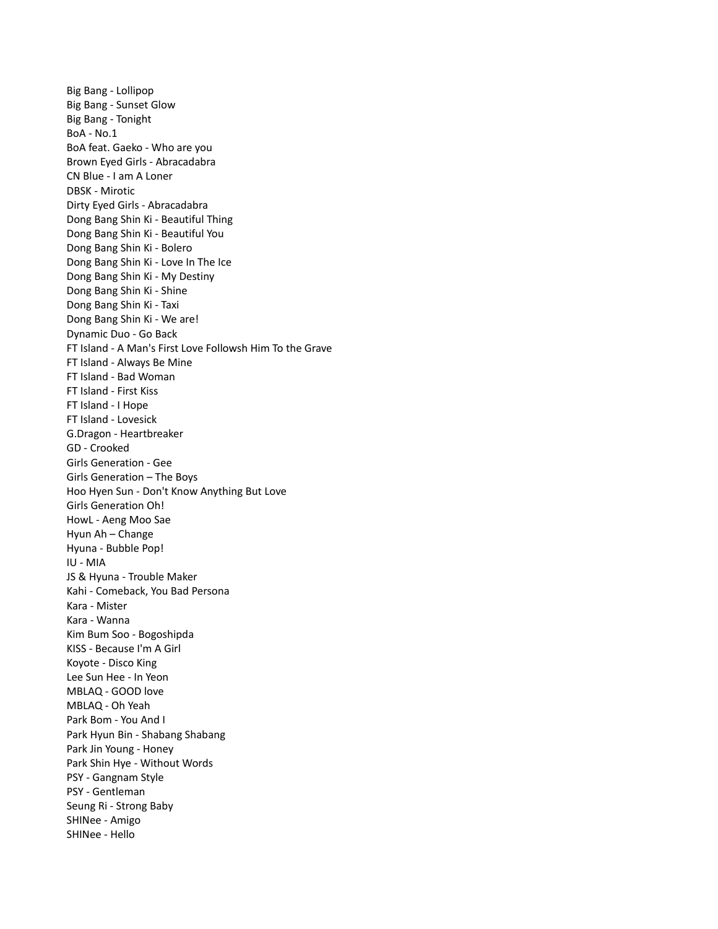Big Bang - Lollipop Big Bang - Sunset Glow Big Bang - Tonight BoA - No.1 BoA feat. Gaeko - Who are you Brown Eyed Girls - Abracadabra CN Blue - I am A Loner DBSK - Mirotic Dirty Eyed Girls - Abracadabra Dong Bang Shin Ki - Beautiful Thing Dong Bang Shin Ki - Beautiful You Dong Bang Shin Ki - Bolero Dong Bang Shin Ki - Love In The Ice Dong Bang Shin Ki - My Destiny Dong Bang Shin Ki - Shine Dong Bang Shin Ki - Taxi Dong Bang Shin Ki - We are! Dynamic Duo - Go Back FT Island - A Man's First Love Followsh Him To the Grave FT Island - Always Be Mine FT Island - Bad Woman FT Island - First Kiss FT Island - I Hope FT Island - Lovesick G.Dragon - Heartbreaker GD - Crooked Girls Generation - Gee Girls Generation – The Boys Hoo Hyen Sun - Don't Know Anything But Love Girls Generation Oh! HowL - Aeng Moo Sae Hyun Ah – Change Hyuna - Bubble Pop! IU - MIA JS & Hyuna - Trouble Maker Kahi - Comeback, You Bad Persona Kara - Mister Kara - Wanna Kim Bum Soo - Bogoshipda KISS - Because I'm A Girl Koyote - Disco King Lee Sun Hee - In Yeon MBLAQ - GOOD love MBLAQ - Oh Yeah Park Bom - You And I Park Hyun Bin - Shabang Shabang Park Jin Young - Honey Park Shin Hye - Without Words PSY - Gangnam Style PSY - Gentleman Seung Ri - Strong Baby SHINee - Amigo SHINee - Hello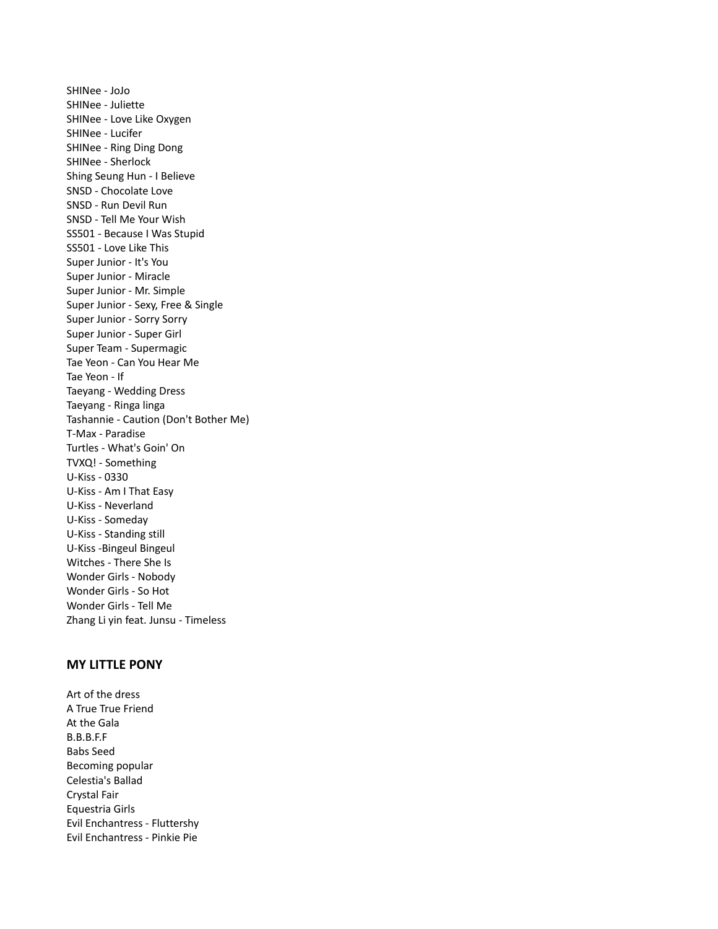SHINee - JoJo SHINee - Juliette SHINee - Love Like Oxygen SHINee - Lucifer SHINee - Ring Ding Dong SHINee - Sherlock Shing Seung Hun - I Believe SNSD - Chocolate Love SNSD - Run Devil Run SNSD - Tell Me Your Wish SS501 - Because I Was Stupid SS501 - Love Like This Super Junior - It's You Super Junior - Miracle Super Junior - Mr. Simple Super Junior - Sexy, Free & Single Super Junior - Sorry Sorry Super Junior - Super Girl Super Team - Supermagic Tae Yeon - Can You Hear Me Tae Yeon - If Taeyang - Wedding Dress Taeyang - Ringa linga Tashannie - Caution (Don't Bother Me) T-Max - Paradise Turtles - What's Goin' On TVXQ! - Something U-Kiss - 0330 U-Kiss - Am I That Easy U-Kiss - Neverland U-Kiss - Someday U-Kiss - Standing still U-Kiss -Bingeul Bingeul Witches - There She Is Wonder Girls - Nobody Wonder Girls - So Hot Wonder Girls - Tell Me Zhang Li yin feat. Junsu - Timeless

## **MY LITTLE PONY**

Art of the dress A True True Friend At the Gala B.B.B.F.F Babs Seed Becoming popular Celestia's Ballad Crystal Fair Equestria Girls Evil Enchantress - Fluttershy Evil Enchantress - Pinkie Pie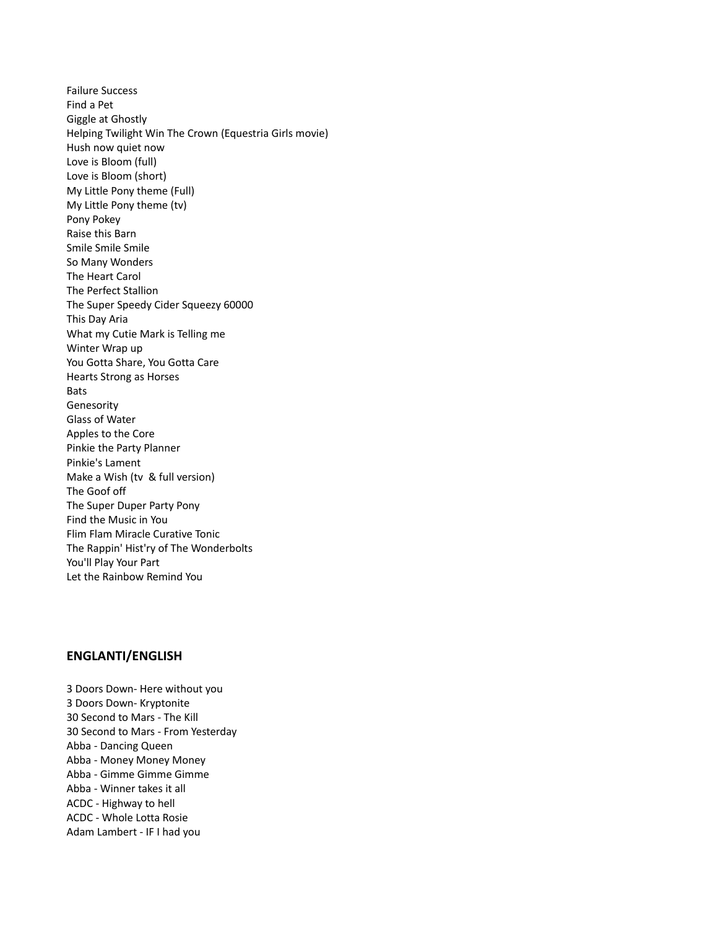Failure Success Find a Pet Giggle at Ghostly Helping Twilight Win The Crown (Equestria Girls movie) Hush now quiet now Love is Bloom (full) Love is Bloom (short) My Little Pony theme (Full) My Little Pony theme (tv) Pony Pokey Raise this Barn Smile Smile Smile So Many Wonders The Heart Carol The Perfect Stallion The Super Speedy Cider Squeezy 60000 This Day Aria What my Cutie Mark is Telling me Winter Wrap up You Gotta Share, You Gotta Care Hearts Strong as Horses Bats Genesority Glass of Water Apples to the Core Pinkie the Party Planner Pinkie's Lament Make a Wish (tv & full version) The Goof off The Super Duper Party Pony Find the Music in You Flim Flam Miracle Curative Tonic The Rappin' Hist'ry of The Wonderbolts You'll Play Your Part Let the Rainbow Remind You

#### **ENGLANTI/ENGLISH**

3 Doors Down- Here without you 3 Doors Down- Kryptonite 30 Second to Mars - The Kill 30 Second to Mars - From Yesterday Abba - Dancing Queen Abba - Money Money Money Abba - Gimme Gimme Gimme Abba - Winner takes it all ACDC - Highway to hell ACDC - Whole Lotta Rosie Adam Lambert - IF I had you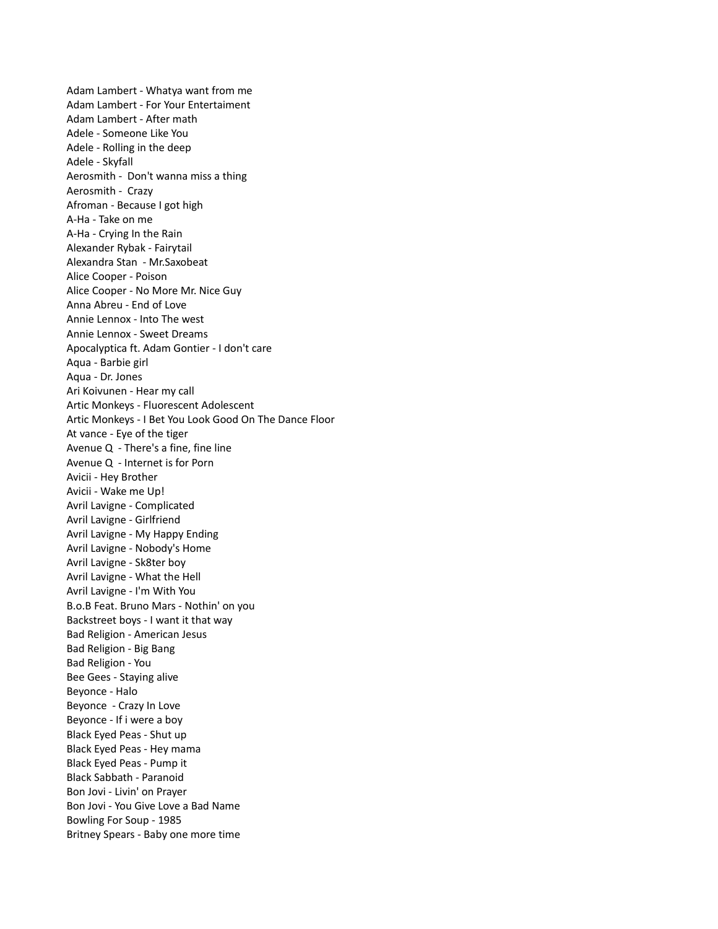Adam Lambert - Whatya want from me Adam Lambert - For Your Entertaiment Adam Lambert - After math Adele - Someone Like You Adele - Rolling in the deep Adele - Skyfall Aerosmith - Don't wanna miss a thing Aerosmith - Crazy Afroman - Because I got high A-Ha - Take on me A-Ha - Crying In the Rain Alexander Rybak - Fairytail Alexandra Stan - Mr.Saxobeat Alice Cooper - Poison Alice Cooper - No More Mr. Nice Guy Anna Abreu - End of Love Annie Lennox - Into The west Annie Lennox - Sweet Dreams Apocalyptica ft. Adam Gontier - I don't care Aqua - Barbie girl Aqua - Dr. Jones Ari Koivunen - Hear my call Artic Monkeys - Fluorescent Adolescent Artic Monkeys - I Bet You Look Good On The Dance Floor At vance - Eye of the tiger Avenue Q - There's a fine, fine line Avenue Q - Internet is for Porn Avicii - Hey Brother Avicii - Wake me Up! Avril Lavigne - Complicated Avril Lavigne - Girlfriend Avril Lavigne - My Happy Ending Avril Lavigne - Nobody's Home Avril Lavigne - Sk8ter boy Avril Lavigne - What the Hell Avril Lavigne - I'm With You B.o.B Feat. Bruno Mars - Nothin' on you Backstreet boys - I want it that way Bad Religion - American Jesus Bad Religion - Big Bang Bad Religion - You Bee Gees - Staying alive Beyonce - Halo Beyonce - Crazy In Love Beyonce - If i were a boy Black Eyed Peas - Shut up Black Eyed Peas - Hey mama Black Eyed Peas - Pump it Black Sabbath - Paranoid Bon Jovi - Livin' on Prayer Bon Jovi - You Give Love a Bad Name Bowling For Soup - 1985 Britney Spears - Baby one more time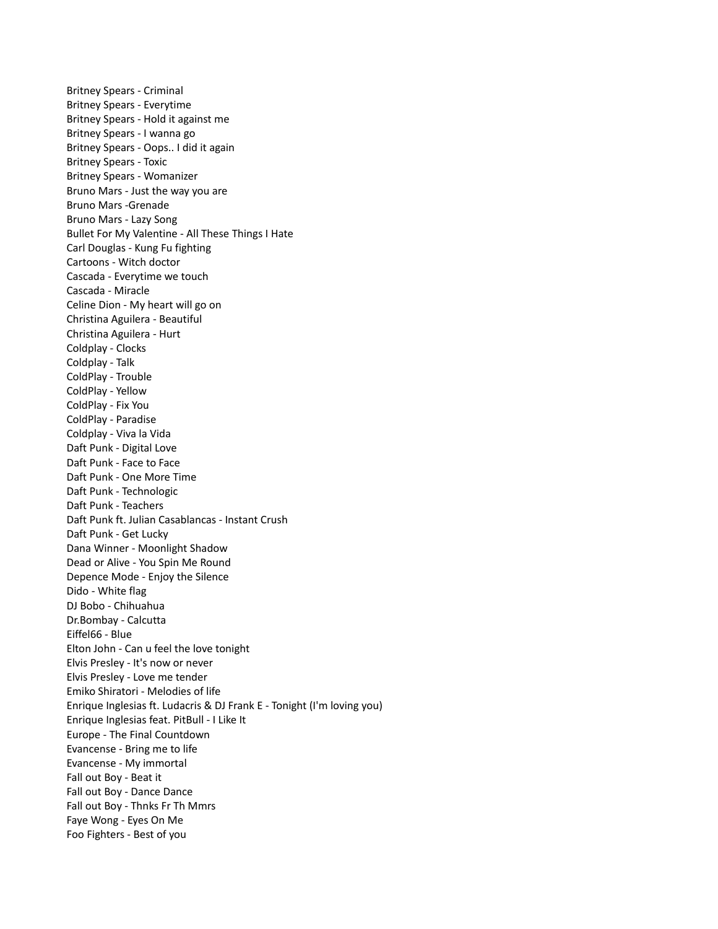Britney Spears - Criminal Britney Spears - Everytime Britney Spears - Hold it against me Britney Spears - I wanna go Britney Spears - Oops.. I did it again Britney Spears - Toxic Britney Spears - Womanizer Bruno Mars - Just the way you are Bruno Mars -Grenade Bruno Mars - Lazy Song Bullet For My Valentine - All These Things I Hate Carl Douglas - Kung Fu fighting Cartoons - Witch doctor Cascada - Everytime we touch Cascada - Miracle Celine Dion - My heart will go on Christina Aguilera - Beautiful Christina Aguilera - Hurt Coldplay - Clocks Coldplay - Talk ColdPlay - Trouble ColdPlay - Yellow ColdPlay - Fix You ColdPlay - Paradise Coldplay - Viva la Vida Daft Punk - Digital Love Daft Punk - Face to Face Daft Punk - One More Time Daft Punk - Technologic Daft Punk - Teachers Daft Punk ft. Julian Casablancas - Instant Crush Daft Punk - Get Lucky Dana Winner - Moonlight Shadow Dead or Alive - You Spin Me Round Depence Mode - Enjoy the Silence Dido - White flag DJ Bobo - Chihuahua Dr.Bombay - Calcutta Eiffel66 - Blue Elton John - Can u feel the love tonight Elvis Presley - It's now or never Elvis Presley - Love me tender Emiko Shiratori - Melodies of life Enrique Inglesias ft. Ludacris & DJ Frank E - Tonight (I'm loving you) Enrique Inglesias feat. PitBull - I Like It Europe - The Final Countdown Evancense - Bring me to life Evancense - My immortal Fall out Boy - Beat it Fall out Boy - Dance Dance Fall out Boy - Thnks Fr Th Mmrs Faye Wong - Eyes On Me Foo Fighters - Best of you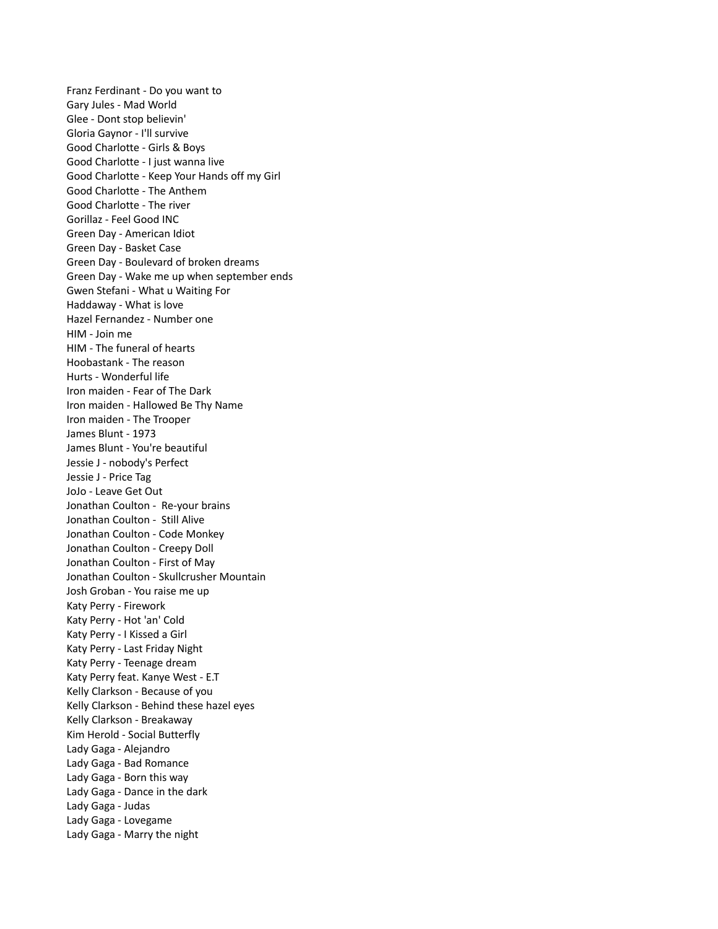Franz Ferdinant - Do you want to Gary Jules - Mad World Glee - Dont stop believin' Gloria Gaynor - I'll survive Good Charlotte - Girls & Boys Good Charlotte - I just wanna live Good Charlotte - Keep Your Hands off my Girl Good Charlotte - The Anthem Good Charlotte - The river Gorillaz - Feel Good INC Green Day - American Idiot Green Day - Basket Case Green Day - Boulevard of broken dreams Green Day - Wake me up when september ends Gwen Stefani - What u Waiting For Haddaway - What is love Hazel Fernandez - Number one HIM - Join me HIM - The funeral of hearts Hoobastank - The reason Hurts - Wonderful life Iron maiden - Fear of The Dark Iron maiden - Hallowed Be Thy Name Iron maiden - The Trooper James Blunt - 1973 James Blunt - You're beautiful Jessie J - nobody's Perfect Jessie J - Price Tag JoJo - Leave Get Out Jonathan Coulton - Re-your brains Jonathan Coulton - Still Alive Jonathan Coulton - Code Monkey Jonathan Coulton - Creepy Doll Jonathan Coulton - First of May Jonathan Coulton - Skullcrusher Mountain Josh Groban - You raise me up Katy Perry - Firework Katy Perry - Hot 'an' Cold Katy Perry - I Kissed a Girl Katy Perry - Last Friday Night Katy Perry - Teenage dream Katy Perry feat. Kanye West - E.T Kelly Clarkson - Because of you Kelly Clarkson - Behind these hazel eyes Kelly Clarkson - Breakaway Kim Herold - Social Butterfly Lady Gaga - Alejandro Lady Gaga - Bad Romance Lady Gaga - Born this way Lady Gaga - Dance in the dark Lady Gaga - Judas Lady Gaga - Lovegame Lady Gaga - Marry the night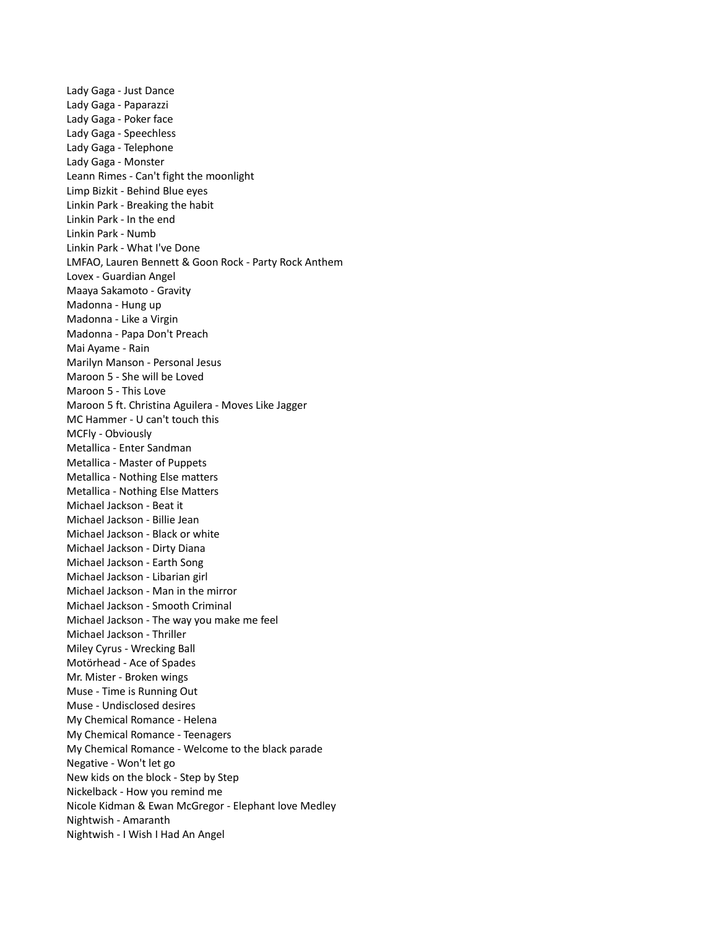Lady Gaga - Just Dance Lady Gaga - Paparazzi Lady Gaga - Poker face Lady Gaga - Speechless Lady Gaga - Telephone Lady Gaga - Monster Leann Rimes - Can't fight the moonlight Limp Bizkit - Behind Blue eyes Linkin Park - Breaking the habit Linkin Park - In the end Linkin Park - Numb Linkin Park - What I've Done LMFAO, Lauren Bennett & Goon Rock - Party Rock Anthem Lovex - Guardian Angel Maaya Sakamoto - Gravity Madonna - Hung up Madonna - Like a Virgin Madonna - Papa Don't Preach Mai Ayame - Rain Marilyn Manson - Personal Jesus Maroon 5 - She will be Loved Maroon 5 - This Love Maroon 5 ft. Christina Aguilera - Moves Like Jagger MC Hammer - U can't touch this MCFly - Obviously Metallica - Enter Sandman Metallica - Master of Puppets Metallica - Nothing Else matters Metallica - Nothing Else Matters Michael Jackson - Beat it Michael Jackson - Billie Jean Michael Jackson - Black or white Michael Jackson - Dirty Diana Michael Jackson - Earth Song Michael Jackson - Libarian girl Michael Jackson - Man in the mirror Michael Jackson - Smooth Criminal Michael Jackson - The way you make me feel Michael Jackson - Thriller Miley Cyrus - Wrecking Ball Motörhead - Ace of Spades Mr. Mister - Broken wings Muse - Time is Running Out Muse - Undisclosed desires My Chemical Romance - Helena My Chemical Romance - Teenagers My Chemical Romance - Welcome to the black parade Negative - Won't let go New kids on the block - Step by Step Nickelback - How you remind me Nicole Kidman & Ewan McGregor - Elephant love Medley Nightwish - Amaranth Nightwish - I Wish I Had An Angel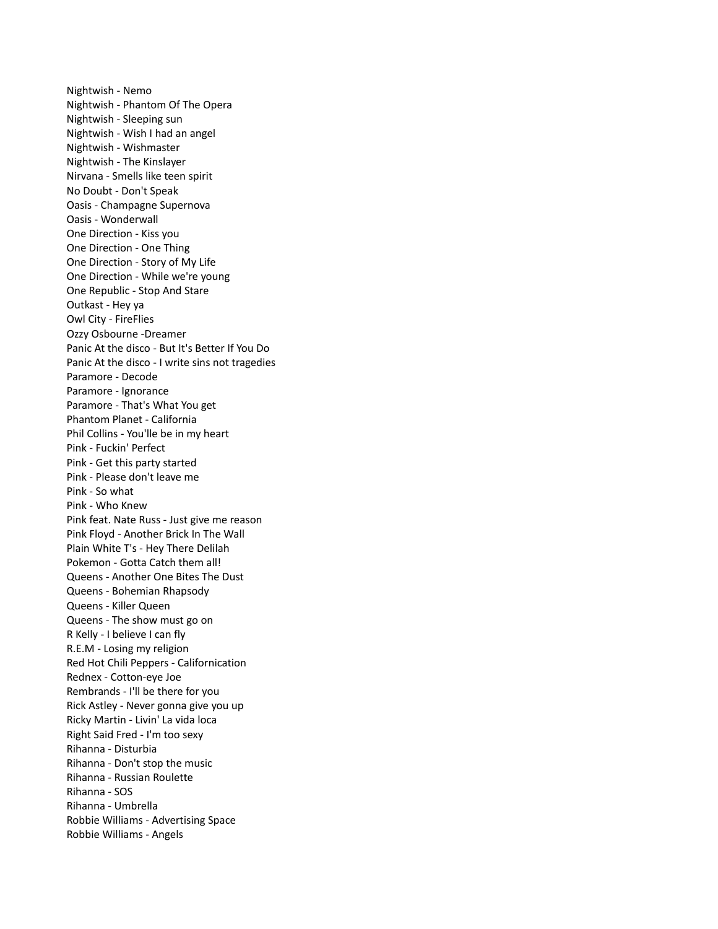Nightwish - Nemo Nightwish - Phantom Of The Opera Nightwish - Sleeping sun Nightwish - Wish I had an angel Nightwish - Wishmaster Nightwish - The Kinslayer Nirvana - Smells like teen spirit No Doubt - Don't Speak Oasis - Champagne Supernova Oasis - Wonderwall One Direction - Kiss you One Direction - One Thing One Direction - Story of My Life One Direction - While we're young One Republic - Stop And Stare Outkast - Hey ya Owl City - FireFlies Ozzy Osbourne -Dreamer Panic At the disco - But It's Better If You Do Panic At the disco - I write sins not tragedies Paramore - Decode Paramore - Ignorance Paramore - That's What You get Phantom Planet - California Phil Collins - You'lle be in my heart Pink - Fuckin' Perfect Pink - Get this party started Pink - Please don't leave me Pink - So what Pink - Who Knew Pink feat. Nate Russ - Just give me reason Pink Floyd - Another Brick In The Wall Plain White T's - Hey There Delilah Pokemon - Gotta Catch them all! Queens - Another One Bites The Dust Queens - Bohemian Rhapsody Queens - Killer Queen Queens - The show must go on R Kelly - I believe I can fly R.E.M - Losing my religion Red Hot Chili Peppers - Californication Rednex - Cotton-eye Joe Rembrands - I'll be there for you Rick Astley - Never gonna give you up Ricky Martin - Livin' La vida loca Right Said Fred - I'm too sexy Rihanna - Disturbia Rihanna - Don't stop the music Rihanna - Russian Roulette Rihanna - SOS Rihanna - Umbrella Robbie Williams - Advertising Space Robbie Williams - Angels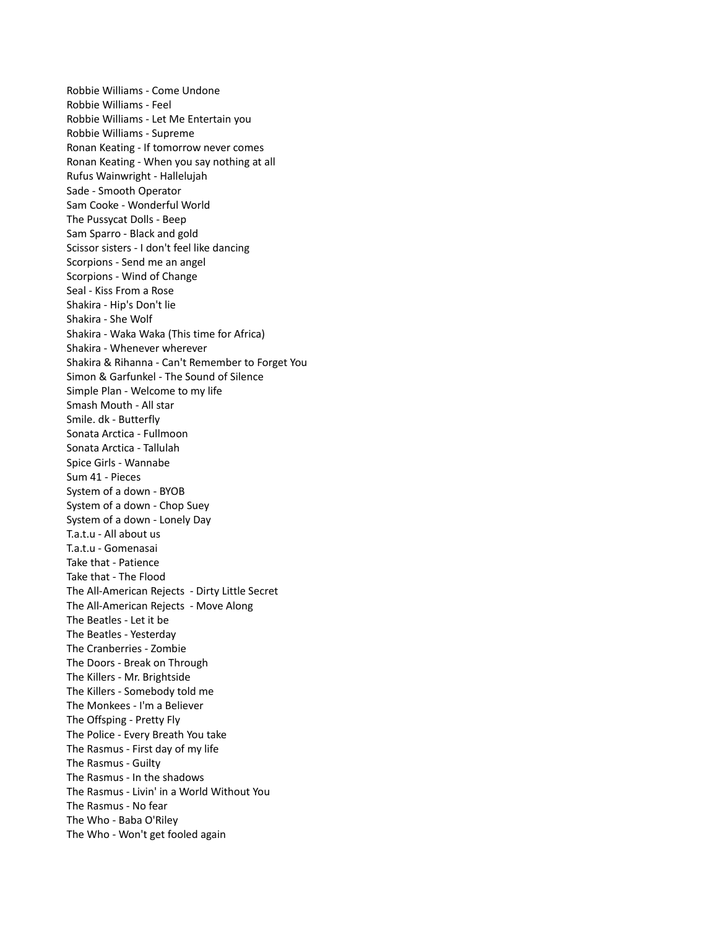Robbie Williams - Come Undone Robbie Williams - Feel Robbie Williams - Let Me Entertain you Robbie Williams - Supreme Ronan Keating - If tomorrow never comes Ronan Keating - When you say nothing at all Rufus Wainwright - Hallelujah Sade - Smooth Operator Sam Cooke - Wonderful World The Pussycat Dolls - Beep Sam Sparro - Black and gold Scissor sisters - I don't feel like dancing Scorpions - Send me an angel Scorpions - Wind of Change Seal - Kiss From a Rose Shakira - Hip's Don't lie Shakira - She Wolf Shakira - Waka Waka (This time for Africa) Shakira - Whenever wherever Shakira & Rihanna - Can't Remember to Forget You Simon & Garfunkel - The Sound of Silence Simple Plan - Welcome to my life Smash Mouth - All star Smile. dk - Butterfly Sonata Arctica - Fullmoon Sonata Arctica - Tallulah Spice Girls - Wannabe Sum 41 - Pieces System of a down - BYOB System of a down - Chop Suey System of a down - Lonely Day T.a.t.u - All about us T.a.t.u - Gomenasai Take that - Patience Take that - The Flood The All-American Rejects - Dirty Little Secret The All-American Rejects - Move Along The Beatles - Let it be The Beatles - Yesterday The Cranberries - Zombie The Doors - Break on Through The Killers - Mr. Brightside The Killers - Somebody told me The Monkees - I'm a Believer The Offsping - Pretty Fly The Police - Every Breath You take The Rasmus - First day of my life The Rasmus - Guilty The Rasmus - In the shadows The Rasmus - Livin' in a World Without You The Rasmus - No fear The Who - Baba O'Riley The Who - Won't get fooled again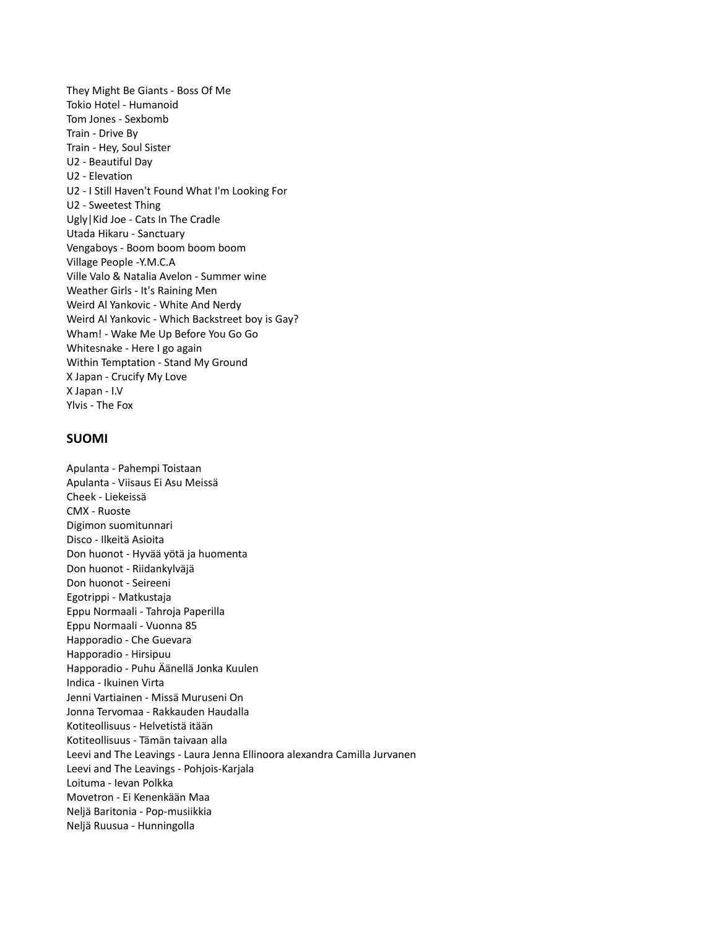They Might Be Giants - Boss Of Me Tokio Hotel - Humanoid Tom Jones - Sexbomb Train - Drive By Train - Hey, Soul Sister U2 - Beautiful Day U2 - Elevation U2 - I Still Haven't Found What I'm Looking For U2 - Sweetest Thing Ugly|Kid Joe - Cats In The Cradle Utada Hikaru - Sanctuary Vengaboys - Boom boom boom boom Village People -Y.M.C.A Ville Valo & Natalia Avelon - Summer wine Weather Girls - It's Raining Men Weird Al Yankovic - White And Nerdy Weird Al Yankovic - Which Backstreet boy is Gay? Wham! - Wake Me Up Before You Go Go Whitesnake - Here I go again Within Temptation - Stand My Ground X Japan - Crucify My Love X Japan - I.V Ylvis - The Fox

# **SUOMI**

Apulanta - Pahempi Toistaan Apulanta - Viisaus Ei Asu Meissä Cheek - Liekeissä CMX - Ruoste Digimon suomitunnari Disco - Ilkeitä Asioita Don huonot - Hyvää yötä ja huomenta Don huonot - Riidankylväjä Don huonot - Seireeni Egotrippi - Matkustaja Eppu Normaali - Tahroja Paperilla Eppu Normaali - Vuonna 85 Happoradio - Che Guevara Happoradio - Hirsipuu Happoradio - Puhu Äänellä Jonka Kuulen Indica - Ikuinen Virta Jenni Vartiainen - Missä Muruseni On Jonna Tervomaa - Rakkauden Haudalla Kotiteollisuus - Helvetistä itään Kotiteollisuus - Tämän taivaan alla Leevi and The Leavings - Laura Jenna Ellinoora alexandra Camilla Jurvanen Leevi and The Leavings - Pohjois-Karjala Loituma - Ievan Polkka Movetron - Ei Kenenkään Maa Neljä Baritonia - Pop-musiikkia Neljä Ruusua - Hunningolla